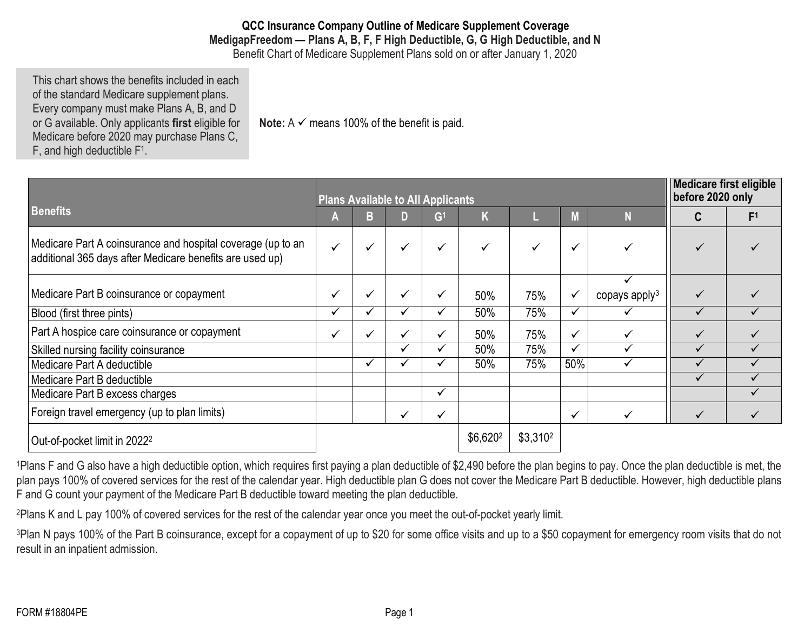**QCC Insurance Company Outline of Medicare Supplement Coverage MedigapFreedom — Plans A, B, F, F High Deductible, G, G High Deductible, and N** Benefit Chart of Medicare Supplement Plans sold on or after January 1, 2020

This chart shows the benefits included in each of the standard Medicare supplement plans. Every company must make Plans A, B, and D or G available. Only applicants **first** eligible for Medicare before 2020 may purchase Plans C, F, and high deductible F1.

**Note:**  $A \n\checkmark$  means 100% of the benefit is paid.

|                                                                                                                         | <b>Plans Available to All Applicants</b> |  |   |                |                      |                      |              |                  |              | <b>Medicare first eligible</b><br>before 2020 only |  |
|-------------------------------------------------------------------------------------------------------------------------|------------------------------------------|--|---|----------------|----------------------|----------------------|--------------|------------------|--------------|----------------------------------------------------|--|
| <b>Benefits</b>                                                                                                         | A                                        |  |   | G <sup>1</sup> |                      |                      | M            |                  |              | F <sup>1</sup>                                     |  |
| Medicare Part A coinsurance and hospital coverage (up to an<br>additional 365 days after Medicare benefits are used up) | ✓                                        |  | ✓ |                |                      | ✓                    | $\checkmark$ |                  |              |                                                    |  |
|                                                                                                                         |                                          |  |   |                |                      |                      |              |                  |              |                                                    |  |
| Medicare Part B coinsurance or copayment                                                                                | ✓                                        |  | ✔ |                | 50%                  | 75%                  | $\checkmark$ | copays apply $3$ | $\checkmark$ |                                                    |  |
| Blood (first three pints)                                                                                               |                                          |  |   |                | 50%                  | 75%                  | $\checkmark$ |                  |              |                                                    |  |
| Part A hospice care coinsurance or copayment                                                                            | ✓                                        |  |   |                | 50%                  | 75%                  | $\checkmark$ |                  | $\checkmark$ |                                                    |  |
| Skilled nursing facility coinsurance                                                                                    |                                          |  |   |                | 50%                  | 75%                  | $\checkmark$ |                  |              |                                                    |  |
| Medicare Part A deductible                                                                                              |                                          |  |   |                | 50%                  | 75%                  | 50%          |                  |              |                                                    |  |
| Medicare Part B deductible                                                                                              |                                          |  |   |                |                      |                      |              |                  |              |                                                    |  |
| Medicare Part B excess charges                                                                                          |                                          |  |   | ✓              |                      |                      |              |                  |              |                                                    |  |
| Foreign travel emergency (up to plan limits)                                                                            |                                          |  |   |                |                      |                      | $\checkmark$ |                  | $\checkmark$ |                                                    |  |
| Out-of-pocket limit in 2022 <sup>2</sup>                                                                                |                                          |  |   |                | \$6,620 <sup>2</sup> | \$3,310 <sup>2</sup> |              |                  |              |                                                    |  |

<sup>1</sup>Plans F and G also have a high deductible option, which requires first paying a plan deductible of \$2,490 before the plan begins to pay. Once the plan deductible is met, the plan pays 100% of covered services for the rest of the calendar year. High deductible plan G does not cover the Medicare Part B deductible. However, high deductible plans F and G count your payment of the Medicare Part B deductible toward meeting the plan deductible.

2Plans K and L pay 100% of covered services for the rest of the calendar year once you meet the out-of-pocket yearly limit.

<sup>3</sup>Plan N pays 100% of the Part B coinsurance, except for a copayment of up to \$20 for some office visits and up to a \$50 copayment for emergency room visits that do not result in an inpatient admission.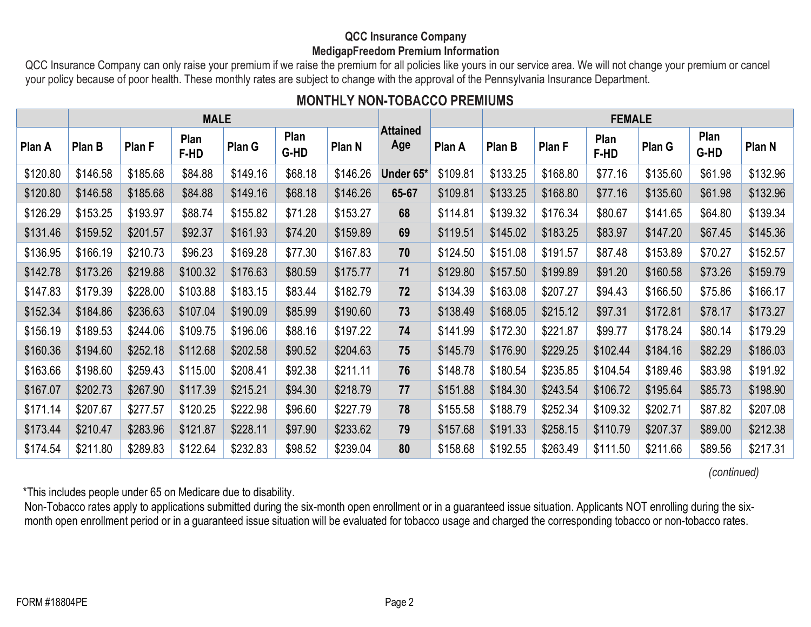### **QCC Insurance Company MedigapFreedom Premium Information**

QCC Insurance Company can only raise your premium if we raise the premium for all policies like yours in our service area. We will not change your premium or cancel your policy because of poor health. These monthly rates are subject to change with the approval of the Pennsylvania Insurance Department.

# **MONTHLY NON-TOBACCO PREMIUMS**

|          | <b>MALE</b> |          |              |          |              |                   |                        | <b>FEMALE</b> |          |          |              |          |              |          |
|----------|-------------|----------|--------------|----------|--------------|-------------------|------------------------|---------------|----------|----------|--------------|----------|--------------|----------|
| Plan A   | Plan B      | Plan F   | Plan<br>F-HD | Plan G   | Plan<br>G-HD | Plan <sub>N</sub> | <b>Attained</b><br>Age | Plan A        | Plan B   | Plan F   | Plan<br>F-HD | Plan G   | Plan<br>G-HD | Plan N   |
| \$120.80 | \$146.58    | \$185.68 | \$84.88      | \$149.16 | \$68.18      | \$146.26          | Under 65*              | \$109.81      | \$133.25 | \$168.80 | \$77.16      | \$135.60 | \$61.98      | \$132.96 |
| \$120.80 | \$146.58    | \$185.68 | \$84.88      | \$149.16 | \$68.18      | \$146.26          | 65-67                  | \$109.81      | \$133.25 | \$168.80 | \$77.16      | \$135.60 | \$61.98      | \$132.96 |
| \$126.29 | \$153.25    | \$193.97 | \$88.74      | \$155.82 | \$71.28      | \$153.27          | 68                     | \$114.81      | \$139.32 | \$176.34 | \$80.67      | \$141.65 | \$64.80      | \$139.34 |
| \$131.46 | \$159.52    | \$201.57 | \$92.37      | \$161.93 | \$74.20      | \$159.89          | 69                     | \$119.51      | \$145.02 | \$183.25 | \$83.97      | \$147.20 | \$67.45      | \$145.36 |
| \$136.95 | \$166.19    | \$210.73 | \$96.23      | \$169.28 | \$77.30      | \$167.83          | 70                     | \$124.50      | \$151.08 | \$191.57 | \$87.48      | \$153.89 | \$70.27      | \$152.57 |
| \$142.78 | \$173.26    | \$219.88 | \$100.32     | \$176.63 | \$80.59      | \$175.77          | 71                     | \$129.80      | \$157.50 | \$199.89 | \$91.20      | \$160.58 | \$73.26      | \$159.79 |
| \$147.83 | \$179.39    | \$228.00 | \$103.88     | \$183.15 | \$83.44      | \$182.79          | 72                     | \$134.39      | \$163.08 | \$207.27 | \$94.43      | \$166.50 | \$75.86      | \$166.17 |
| \$152.34 | \$184.86    | \$236.63 | \$107.04     | \$190.09 | \$85.99      | \$190.60          | 73                     | \$138.49      | \$168.05 | \$215.12 | \$97.31      | \$172.81 | \$78.17      | \$173.27 |
| \$156.19 | \$189.53    | \$244.06 | \$109.75     | \$196.06 | \$88.16      | \$197.22          | 74                     | \$141.99      | \$172.30 | \$221.87 | \$99.77      | \$178.24 | \$80.14      | \$179.29 |
| \$160.36 | \$194.60    | \$252.18 | \$112.68     | \$202.58 | \$90.52      | \$204.63          | 75                     | \$145.79      | \$176.90 | \$229.25 | \$102.44     | \$184.16 | \$82.29      | \$186.03 |
| \$163.66 | \$198.60    | \$259.43 | \$115.00     | \$208.41 | \$92.38      | \$211.11          | 76                     | \$148.78      | \$180.54 | \$235.85 | \$104.54     | \$189.46 | \$83.98      | \$191.92 |
| \$167.07 | \$202.73    | \$267.90 | \$117.39     | \$215.21 | \$94.30      | \$218.79          | 77                     | \$151.88      | \$184.30 | \$243.54 | \$106.72     | \$195.64 | \$85.73      | \$198.90 |
| \$171.14 | \$207.67    | \$277.57 | \$120.25     | \$222.98 | \$96.60      | \$227.79          | 78                     | \$155.58      | \$188.79 | \$252.34 | \$109.32     | \$202.71 | \$87.82      | \$207.08 |
| \$173.44 | \$210.47    | \$283.96 | \$121.87     | \$228.11 | \$97.90      | \$233.62          | 79                     | \$157.68      | \$191.33 | \$258.15 | \$110.79     | \$207.37 | \$89.00      | \$212.38 |
| \$174.54 | \$211.80    | \$289.83 | \$122.64     | \$232.83 | \$98.52      | \$239.04          | 80                     | \$158.68      | \$192.55 | \$263.49 | \$111.50     | \$211.66 | \$89.56      | \$217.31 |

*(continued)*

\*This includes people under 65 on Medicare due to disability.

Non-Tobacco rates apply to applications submitted during the six-month open enrollment or in a guaranteed issue situation. Applicants NOT enrolling during the sixmonth open enrollment period or in a guaranteed issue situation will be evaluated for tobacco usage and charged the corresponding tobacco or non-tobacco rates.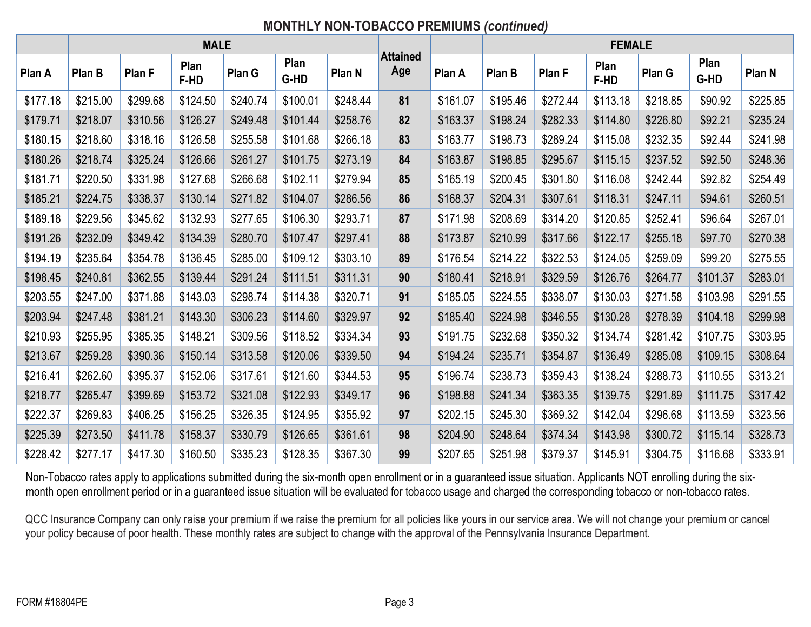# **MONTHLY NON-TOBACCO PREMIUMS** *(continued)*

|          | <b>MALE</b> |          |              |          |              |          | <b>FEMALE</b>          |          |          |          |              |          |              |          |  |
|----------|-------------|----------|--------------|----------|--------------|----------|------------------------|----------|----------|----------|--------------|----------|--------------|----------|--|
| Plan A   | Plan B      | Plan F   | Plan<br>F-HD | Plan G   | Plan<br>G-HD | Plan N   | <b>Attained</b><br>Age | Plan A   | Plan B   | Plan F   | Plan<br>F-HD | Plan G   | Plan<br>G-HD | Plan N   |  |
| \$177.18 | \$215.00    | \$299.68 | \$124.50     | \$240.74 | \$100.01     | \$248.44 | 81                     | \$161.07 | \$195.46 | \$272.44 | \$113.18     | \$218.85 | \$90.92      | \$225.85 |  |
| \$179.71 | \$218.07    | \$310.56 | \$126.27     | \$249.48 | \$101.44     | \$258.76 | 82                     | \$163.37 | \$198.24 | \$282.33 | \$114.80     | \$226.80 | \$92.21      | \$235.24 |  |
| \$180.15 | \$218.60    | \$318.16 | \$126.58     | \$255.58 | \$101.68     | \$266.18 | 83                     | \$163.77 | \$198.73 | \$289.24 | \$115.08     | \$232.35 | \$92.44      | \$241.98 |  |
| \$180.26 | \$218.74    | \$325.24 | \$126.66     | \$261.27 | \$101.75     | \$273.19 | 84                     | \$163.87 | \$198.85 | \$295.67 | \$115.15     | \$237.52 | \$92.50      | \$248.36 |  |
| \$181.71 | \$220.50    | \$331.98 | \$127.68     | \$266.68 | \$102.11     | \$279.94 | 85                     | \$165.19 | \$200.45 | \$301.80 | \$116.08     | \$242.44 | \$92.82      | \$254.49 |  |
| \$185.21 | \$224.75    | \$338.37 | \$130.14     | \$271.82 | \$104.07     | \$286.56 | 86                     | \$168.37 | \$204.31 | \$307.61 | \$118.31     | \$247.11 | \$94.61      | \$260.51 |  |
| \$189.18 | \$229.56    | \$345.62 | \$132.93     | \$277.65 | \$106.30     | \$293.71 | 87                     | \$171.98 | \$208.69 | \$314.20 | \$120.85     | \$252.41 | \$96.64      | \$267.01 |  |
| \$191.26 | \$232.09    | \$349.42 | \$134.39     | \$280.70 | \$107.47     | \$297.41 | 88                     | \$173.87 | \$210.99 | \$317.66 | \$122.17     | \$255.18 | \$97.70      | \$270.38 |  |
| \$194.19 | \$235.64    | \$354.78 | \$136.45     | \$285.00 | \$109.12     | \$303.10 | 89                     | \$176.54 | \$214.22 | \$322.53 | \$124.05     | \$259.09 | \$99.20      | \$275.55 |  |
| \$198.45 | \$240.81    | \$362.55 | \$139.44     | \$291.24 | \$111.51     | \$311.31 | 90                     | \$180.41 | \$218.91 | \$329.59 | \$126.76     | \$264.77 | \$101.37     | \$283.01 |  |
| \$203.55 | \$247.00    | \$371.88 | \$143.03     | \$298.74 | \$114.38     | \$320.71 | 91                     | \$185.05 | \$224.55 | \$338.07 | \$130.03     | \$271.58 | \$103.98     | \$291.55 |  |
| \$203.94 | \$247.48    | \$381.21 | \$143.30     | \$306.23 | \$114.60     | \$329.97 | 92                     | \$185.40 | \$224.98 | \$346.55 | \$130.28     | \$278.39 | \$104.18     | \$299.98 |  |
| \$210.93 | \$255.95    | \$385.35 | \$148.21     | \$309.56 | \$118.52     | \$334.34 | 93                     | \$191.75 | \$232.68 | \$350.32 | \$134.74     | \$281.42 | \$107.75     | \$303.95 |  |
| \$213.67 | \$259.28    | \$390.36 | \$150.14     | \$313.58 | \$120.06     | \$339.50 | 94                     | \$194.24 | \$235.71 | \$354.87 | \$136.49     | \$285.08 | \$109.15     | \$308.64 |  |
| \$216.41 | \$262.60    | \$395.37 | \$152.06     | \$317.61 | \$121.60     | \$344.53 | 95                     | \$196.74 | \$238.73 | \$359.43 | \$138.24     | \$288.73 | \$110.55     | \$313.21 |  |
| \$218.77 | \$265.47    | \$399.69 | \$153.72     | \$321.08 | \$122.93     | \$349.17 | 96                     | \$198.88 | \$241.34 | \$363.35 | \$139.75     | \$291.89 | \$111.75     | \$317.42 |  |
| \$222.37 | \$269.83    | \$406.25 | \$156.25     | \$326.35 | \$124.95     | \$355.92 | 97                     | \$202.15 | \$245.30 | \$369.32 | \$142.04     | \$296.68 | \$113.59     | \$323.56 |  |
| \$225.39 | \$273.50    | \$411.78 | \$158.37     | \$330.79 | \$126.65     | \$361.61 | 98                     | \$204.90 | \$248.64 | \$374.34 | \$143.98     | \$300.72 | \$115.14     | \$328.73 |  |
| \$228.42 | \$277.17    | \$417.30 | \$160.50     | \$335.23 | \$128.35     | \$367.30 | 99                     | \$207.65 | \$251.98 | \$379.37 | \$145.91     | \$304.75 | \$116.68     | \$333.91 |  |

Non-Tobacco rates apply to applications submitted during the six-month open enrollment or in a guaranteed issue situation. Applicants NOT enrolling during the sixmonth open enrollment period or in a guaranteed issue situation will be evaluated for tobacco usage and charged the corresponding tobacco or non-tobacco rates.

QCC Insurance Company can only raise your premium if we raise the premium for all policies like yours in our service area. We will not change your premium or cancel your policy because of poor health. These monthly rates are subject to change with the approval of the Pennsylvania Insurance Department.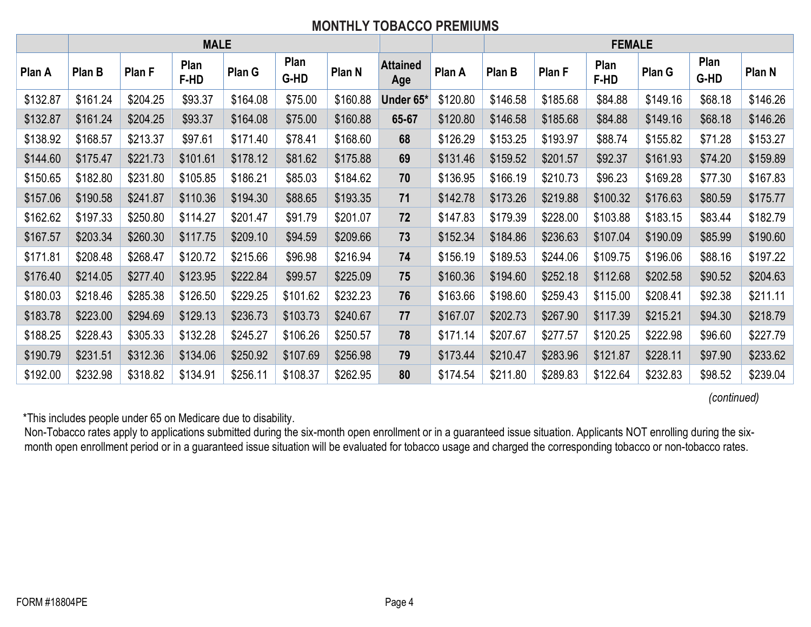# **MONTHLY TOBACCO PREMIUMS**

|          | <b>MALE</b> |          |              |          |              |          | <b>FEMALE</b>          |          |          |          |                     |          |              |          |
|----------|-------------|----------|--------------|----------|--------------|----------|------------------------|----------|----------|----------|---------------------|----------|--------------|----------|
| Plan A   | Plan B      | Plan F   | Plan<br>F-HD | Plan G   | Plan<br>G-HD | Plan N   | <b>Attained</b><br>Age | Plan A   | Plan B   | Plan F   | Plan<br><b>F-HD</b> | Plan G   | Plan<br>G-HD | Plan N   |
| \$132.87 | \$161.24    | \$204.25 | \$93.37      | \$164.08 | \$75.00      | \$160.88 | Under 65*              | \$120.80 | \$146.58 | \$185.68 | \$84.88             | \$149.16 | \$68.18      | \$146.26 |
| \$132.87 | \$161.24    | \$204.25 | \$93.37      | \$164.08 | \$75.00      | \$160.88 | 65-67                  | \$120.80 | \$146.58 | \$185.68 | \$84.88             | \$149.16 | \$68.18      | \$146.26 |
| \$138.92 | \$168.57    | \$213.37 | \$97.61      | \$171.40 | \$78.41      | \$168.60 | 68                     | \$126.29 | \$153.25 | \$193.97 | \$88.74             | \$155.82 | \$71.28      | \$153.27 |
| \$144.60 | \$175.47    | \$221.73 | \$101.61     | \$178.12 | \$81.62      | \$175.88 | 69                     | \$131.46 | \$159.52 | \$201.57 | \$92.37             | \$161.93 | \$74.20      | \$159.89 |
| \$150.65 | \$182.80    | \$231.80 | \$105.85     | \$186.21 | \$85.03      | \$184.62 | 70                     | \$136.95 | \$166.19 | \$210.73 | \$96.23             | \$169.28 | \$77.30      | \$167.83 |
| \$157.06 | \$190.58    | \$241.87 | \$110.36     | \$194.30 | \$88.65      | \$193.35 | 71                     | \$142.78 | \$173.26 | \$219.88 | \$100.32            | \$176.63 | \$80.59      | \$175.77 |
| \$162.62 | \$197.33    | \$250.80 | \$114.27     | \$201.47 | \$91.79      | \$201.07 | 72                     | \$147.83 | \$179.39 | \$228.00 | \$103.88            | \$183.15 | \$83.44      | \$182.79 |
| \$167.57 | \$203.34    | \$260.30 | \$117.75     | \$209.10 | \$94.59      | \$209.66 | 73                     | \$152.34 | \$184.86 | \$236.63 | \$107.04            | \$190.09 | \$85.99      | \$190.60 |
| \$171.81 | \$208.48    | \$268.47 | \$120.72     | \$215.66 | \$96.98      | \$216.94 | 74                     | \$156.19 | \$189.53 | \$244.06 | \$109.75            | \$196.06 | \$88.16      | \$197.22 |
| \$176.40 | \$214.05    | \$277.40 | \$123.95     | \$222.84 | \$99.57      | \$225.09 | 75                     | \$160.36 | \$194.60 | \$252.18 | \$112.68            | \$202.58 | \$90.52      | \$204.63 |
| \$180.03 | \$218.46    | \$285.38 | \$126.50     | \$229.25 | \$101.62     | \$232.23 | 76                     | \$163.66 | \$198.60 | \$259.43 | \$115.00            | \$208.41 | \$92.38      | \$211.11 |
| \$183.78 | \$223.00    | \$294.69 | \$129.13     | \$236.73 | \$103.73     | \$240.67 | 77                     | \$167.07 | \$202.73 | \$267.90 | \$117.39            | \$215.21 | \$94.30      | \$218.79 |
| \$188.25 | \$228.43    | \$305.33 | \$132.28     | \$245.27 | \$106.26     | \$250.57 | 78                     | \$171.14 | \$207.67 | \$277.57 | \$120.25            | \$222.98 | \$96.60      | \$227.79 |
| \$190.79 | \$231.51    | \$312.36 | \$134.06     | \$250.92 | \$107.69     | \$256.98 | 79                     | \$173.44 | \$210.47 | \$283.96 | \$121.87            | \$228.11 | \$97.90      | \$233.62 |
| \$192.00 | \$232.98    | \$318.82 | \$134.91     | \$256.11 | \$108.37     | \$262.95 | 80                     | \$174.54 | \$211.80 | \$289.83 | \$122.64            | \$232.83 | \$98.52      | \$239.04 |

*(continued)*

\*This includes people under 65 on Medicare due to disability.

Non-Tobacco rates apply to applications submitted during the six-month open enrollment or in a guaranteed issue situation. Applicants NOT enrolling during the sixmonth open enrollment period or in a guaranteed issue situation will be evaluated for tobacco usage and charged the corresponding tobacco or non-tobacco rates.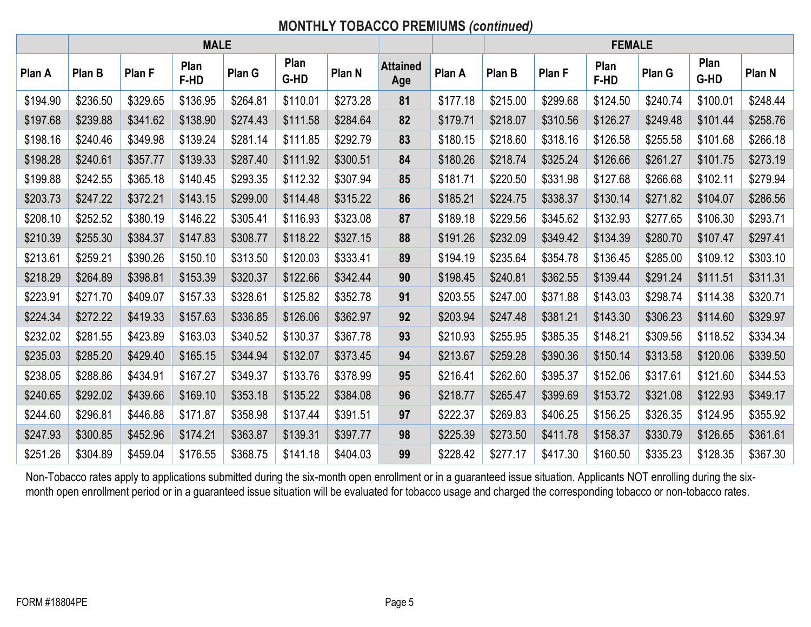# **MONTHLY TOBACCO PREMIUMS** *(continued)*

|          | <b>MALE</b> |          |              |          |              |          | <b>FEMALE</b>          |          |          |          |              |          |              |          |
|----------|-------------|----------|--------------|----------|--------------|----------|------------------------|----------|----------|----------|--------------|----------|--------------|----------|
| Plan A   | Plan B      | Plan F   | Plan<br>F-HD | Plan G   | Plan<br>G-HD | Plan N   | <b>Attained</b><br>Age | Plan A   | Plan B   | Plan F   | Plan<br>F-HD | Plan G   | Plan<br>G-HD | Plan N   |
| \$194.90 | \$236.50    | \$329.65 | \$136.95     | \$264.81 | \$110.01     | \$273.28 | 81                     | \$177.18 | \$215.00 | \$299.68 | \$124.50     | \$240.74 | \$100.01     | \$248.44 |
| \$197.68 | \$239.88    | \$341.62 | \$138.90     | \$274.43 | \$111.58     | \$284.64 | 82                     | \$179.71 | \$218.07 | \$310.56 | \$126.27     | \$249.48 | \$101.44     | \$258.76 |
| \$198.16 | \$240.46    | \$349.98 | \$139.24     | \$281.14 | \$111.85     | \$292.79 | 83                     | \$180.15 | \$218.60 | \$318.16 | \$126.58     | \$255.58 | \$101.68     | \$266.18 |
| \$198.28 | \$240.61    | \$357.77 | \$139.33     | \$287.40 | \$111.92     | \$300.51 | 84                     | \$180.26 | \$218.74 | \$325.24 | \$126.66     | \$261.27 | \$101.75     | \$273.19 |
| \$199.88 | \$242.55    | \$365.18 | \$140.45     | \$293.35 | \$112.32     | \$307.94 | 85                     | \$181.71 | \$220.50 | \$331.98 | \$127.68     | \$266.68 | \$102.11     | \$279.94 |
| \$203.73 | \$247.22    | \$372.21 | \$143.15     | \$299.00 | \$114.48     | \$315.22 | 86                     | \$185.21 | \$224.75 | \$338.37 | \$130.14     | \$271.82 | \$104.07     | \$286.56 |
| \$208.10 | \$252.52    | \$380.19 | \$146.22     | \$305.41 | \$116.93     | \$323.08 | 87                     | \$189.18 | \$229.56 | \$345.62 | \$132.93     | \$277.65 | \$106.30     | \$293.71 |
| \$210.39 | \$255.30    | \$384.37 | \$147.83     | \$308.77 | \$118.22     | \$327.15 | 88                     | \$191.26 | \$232.09 | \$349.42 | \$134.39     | \$280.70 | \$107.47     | \$297.41 |
| \$213.61 | \$259.21    | \$390.26 | \$150.10     | \$313.50 | \$120.03     | \$333.41 | 89                     | \$194.19 | \$235.64 | \$354.78 | \$136.45     | \$285.00 | \$109.12     | \$303.10 |
| \$218.29 | \$264.89    | \$398.81 | \$153.39     | \$320.37 | \$122.66     | \$342.44 | 90                     | \$198.45 | \$240.81 | \$362.55 | \$139.44     | \$291.24 | \$111.51     | \$311.31 |
| \$223.91 | \$271.70    | \$409.07 | \$157.33     | \$328.61 | \$125.82     | \$352.78 | 91                     | \$203.55 | \$247.00 | \$371.88 | \$143.03     | \$298.74 | \$114.38     | \$320.71 |
| \$224.34 | \$272.22    | \$419.33 | \$157.63     | \$336.85 | \$126.06     | \$362.97 | 92                     | \$203.94 | \$247.48 | \$381.21 | \$143.30     | \$306.23 | \$114.60     | \$329.97 |
| \$232.02 | \$281.55    | \$423.89 | \$163.03     | \$340.52 | \$130.37     | \$367.78 | 93                     | \$210.93 | \$255.95 | \$385.35 | \$148.21     | \$309.56 | \$118.52     | \$334.34 |
| \$235.03 | \$285.20    | \$429.40 | \$165.15     | \$344.94 | \$132.07     | \$373.45 | 94                     | \$213.67 | \$259.28 | \$390.36 | \$150.14     | \$313.58 | \$120.06     | \$339.50 |
| \$238.05 | \$288.86    | \$434.91 | \$167.27     | \$349.37 | \$133.76     | \$378.99 | 95                     | \$216.41 | \$262.60 | \$395.37 | \$152.06     | \$317.61 | \$121.60     | \$344.53 |
| \$240.65 | \$292.02    | \$439.66 | \$169.10     | \$353.18 | \$135.22     | \$384.08 | 96                     | \$218.77 | \$265.47 | \$399.69 | \$153.72     | \$321.08 | \$122.93     | \$349.17 |
| \$244.60 | \$296.81    | \$446.88 | \$171.87     | \$358.98 | \$137.44     | \$391.51 | 97                     | \$222.37 | \$269.83 | \$406.25 | \$156.25     | \$326.35 | \$124.95     | \$355.92 |
| \$247.93 | \$300.85    | \$452.96 | \$174.21     | \$363.87 | \$139.31     | \$397.77 | 98                     | \$225.39 | \$273.50 | \$411.78 | \$158.37     | \$330.79 | \$126.65     | \$361.61 |
| \$251.26 | \$304.89    | \$459.04 | \$176.55     | \$368.75 | \$141.18     | \$404.03 | 99                     | \$228.42 | \$277.17 | \$417.30 | \$160.50     | \$335.23 | \$128.35     | \$367.30 |

Non-Tobacco rates apply to applications submitted during the six-month open enrollment or in a guaranteed issue situation. Applicants NOT enrolling during the sixmonth open enrollment period or in a guaranteed issue situation will be evaluated for tobacco usage and charged the corresponding tobacco or non-tobacco rates.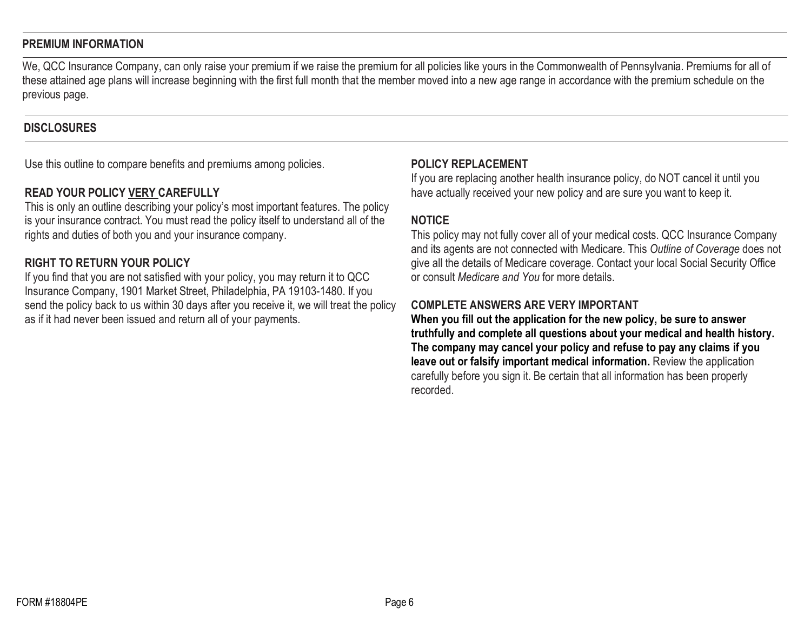#### **PREMIUM INFORMATION**

We, QCC Insurance Company, can only raise your premium if we raise the premium for all policies like yours in the Commonwealth of Pennsylvania. Premiums for all of these attained age plans will increase beginning with the first full month that the member moved into a new age range in accordance with the premium schedule on the previous page.

#### **DISCLOSURES**

Use this outline to compare benefits and premiums among policies.

## **READ YOUR POLICY VERY CAREFULLY**

This is only an outline describing your policy's most important features. The policy is your insurance contract. You must read the policy itself to understand all of the rights and duties of both you and your insurance company.

## **RIGHT TO RETURN YOUR POLICY**

If you find that you are not satisfied with your policy, you may return it to QCC Insurance Company, 1901 Market Street, Philadelphia, PA 19103-1480. If you send the policy back to us within 30 days after you receive it, we will treat the policy as if it had never been issued and return all of your payments.

#### **POLICY REPLACEMENT**

If you are replacing another health insurance policy, do NOT cancel it until you have actually received your new policy and are sure you want to keep it.

#### **NOTICE**

This policy may not fully cover all of your medical costs. QCC Insurance Company and its agents are not connected with Medicare. This *Outline of Coverage* does not give all the details of Medicare coverage. Contact your local Social Security Office or consult *Medicare and You* for more details.

### **COMPLETE ANSWERS ARE VERY IMPORTANT**

**When you fill out the application for the new policy, be sure to answer truthfully and complete all questions about your medical and health history. The company may cancel your policy and refuse to pay any claims if you leave out or falsify important medical information.** Review the application carefully before you sign it. Be certain that all information has been properly recorded.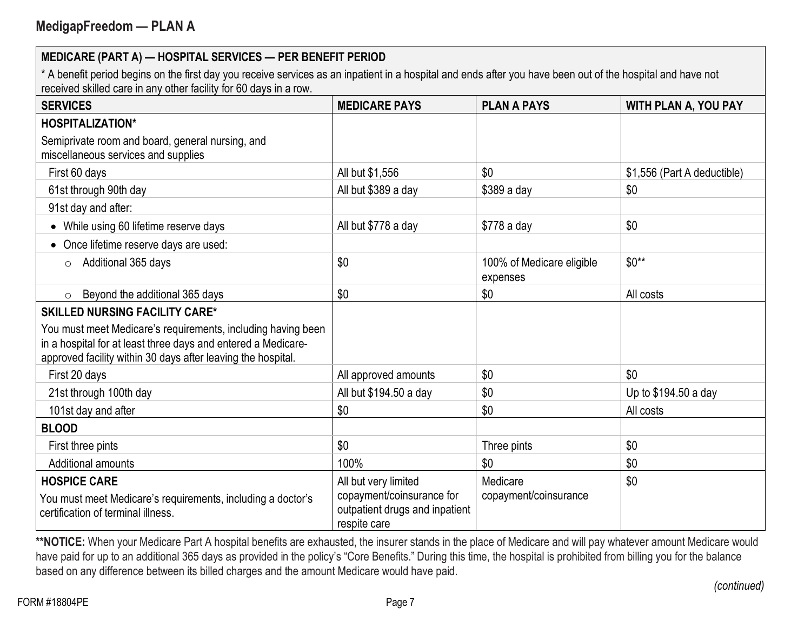\* A benefit period begins on the first day you receive services as an inpatient in a hospital and ends after you have been out of the hospital and have not received skilled care in any other facility for 60 days in a row.

| <b>SERVICES</b>                                                                                                                                                                               | <b>MEDICARE PAYS</b>                                                                                | <b>PLAN A PAYS</b>                    | <b>WITH PLAN A, YOU PAY</b> |
|-----------------------------------------------------------------------------------------------------------------------------------------------------------------------------------------------|-----------------------------------------------------------------------------------------------------|---------------------------------------|-----------------------------|
| <b>HOSPITALIZATION*</b>                                                                                                                                                                       |                                                                                                     |                                       |                             |
| Semiprivate room and board, general nursing, and<br>miscellaneous services and supplies                                                                                                       |                                                                                                     |                                       |                             |
| First 60 days                                                                                                                                                                                 | All but \$1,556                                                                                     | \$0                                   | \$1,556 (Part A deductible) |
| 61st through 90th day                                                                                                                                                                         | All but \$389 a day                                                                                 | \$389 a day                           | \$0                         |
| 91st day and after:                                                                                                                                                                           |                                                                                                     |                                       |                             |
| While using 60 lifetime reserve days<br>$\bullet$                                                                                                                                             | All but \$778 a day                                                                                 | \$778 a day                           | \$0                         |
| Once lifetime reserve days are used:                                                                                                                                                          |                                                                                                     |                                       |                             |
| Additional 365 days<br>$\circ$                                                                                                                                                                | \$0                                                                                                 | 100% of Medicare eligible<br>expenses | $$0**$                      |
| Beyond the additional 365 days<br>$\circ$                                                                                                                                                     | \$0                                                                                                 | \$0                                   | All costs                   |
| <b>SKILLED NURSING FACILITY CARE*</b>                                                                                                                                                         |                                                                                                     |                                       |                             |
| You must meet Medicare's requirements, including having been<br>in a hospital for at least three days and entered a Medicare-<br>approved facility within 30 days after leaving the hospital. |                                                                                                     |                                       |                             |
| First 20 days                                                                                                                                                                                 | All approved amounts                                                                                | \$0                                   | \$0                         |
| 21st through 100th day                                                                                                                                                                        | All but \$194.50 a day                                                                              | \$0                                   | Up to \$194.50 a day        |
| 101st day and after                                                                                                                                                                           | \$0                                                                                                 | \$0                                   | All costs                   |
| <b>BLOOD</b>                                                                                                                                                                                  |                                                                                                     |                                       |                             |
| First three pints                                                                                                                                                                             | \$0                                                                                                 | Three pints                           | \$0                         |
| Additional amounts                                                                                                                                                                            | 100%                                                                                                | \$0                                   | \$0                         |
| <b>HOSPICE CARE</b><br>You must meet Medicare's requirements, including a doctor's<br>certification of terminal illness.                                                                      | All but very limited<br>copayment/coinsurance for<br>outpatient drugs and inpatient<br>respite care | Medicare<br>copayment/coinsurance     | \$0                         |

\*\*NOTICE: When your Medicare Part A hospital benefits are exhausted, the insurer stands in the place of Medicare and will pay whatever amount Medicare would have paid for up to an additional 365 days as provided in the policy's "Core Benefits." During this time, the hospital is prohibited from billing you for the balance based on any difference between its billed charges and the amount Medicare would have paid.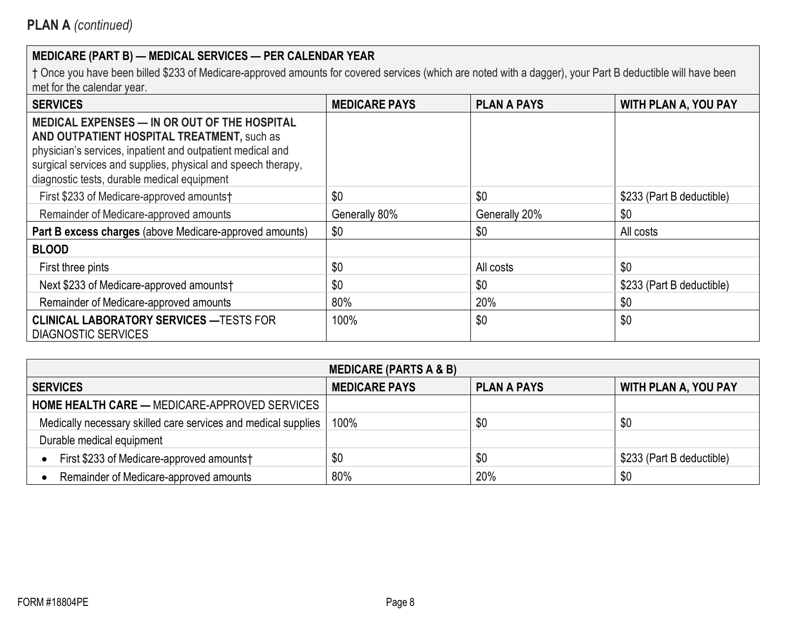| <b>SERVICES</b>                                                                                                                                                                                                                                                                | <b>MEDICARE PAYS</b> | <b>PLAN A PAYS</b> | <b>WITH PLAN A, YOU PAY</b> |
|--------------------------------------------------------------------------------------------------------------------------------------------------------------------------------------------------------------------------------------------------------------------------------|----------------------|--------------------|-----------------------------|
| <b>MEDICAL EXPENSES - IN OR OUT OF THE HOSPITAL</b><br>AND OUTPATIENT HOSPITAL TREATMENT, such as<br>physician's services, inpatient and outpatient medical and<br>surgical services and supplies, physical and speech therapy,<br>diagnostic tests, durable medical equipment |                      |                    |                             |
| First \$233 of Medicare-approved amounts†                                                                                                                                                                                                                                      | \$0                  | \$0                | \$233 (Part B deductible)   |
| Remainder of Medicare-approved amounts                                                                                                                                                                                                                                         | Generally 80%        | Generally 20%      | \$0                         |
| Part B excess charges (above Medicare-approved amounts)                                                                                                                                                                                                                        | \$0                  | \$0                | All costs                   |
| <b>BLOOD</b>                                                                                                                                                                                                                                                                   |                      |                    |                             |
| First three pints                                                                                                                                                                                                                                                              | \$0                  | All costs          | \$0                         |
| Next \$233 of Medicare-approved amounts†                                                                                                                                                                                                                                       | \$0                  | \$0                | \$233 (Part B deductible)   |
| Remainder of Medicare-approved amounts                                                                                                                                                                                                                                         | 80%                  | 20%                | \$0                         |
| <b>CLINICAL LABORATORY SERVICES - TESTS FOR</b><br><b>DIAGNOSTIC SERVICES</b>                                                                                                                                                                                                  | 100%                 | \$0                | \$0                         |

| <b>MEDICARE (PARTS A &amp; B)</b>                              |                      |                    |                             |  |  |  |  |  |
|----------------------------------------------------------------|----------------------|--------------------|-----------------------------|--|--|--|--|--|
| <b>SERVICES</b>                                                | <b>MEDICARE PAYS</b> | <b>PLAN A PAYS</b> | <b>WITH PLAN A, YOU PAY</b> |  |  |  |  |  |
| <b>HOME HEALTH CARE — MEDICARE-APPROVED SERVICES</b>           |                      |                    |                             |  |  |  |  |  |
| Medically necessary skilled care services and medical supplies | 100%                 | \$0                | \$0                         |  |  |  |  |  |
| Durable medical equipment                                      |                      |                    |                             |  |  |  |  |  |
| First \$233 of Medicare-approved amounts†                      | \$0                  | \$0                | \$233 (Part B deductible)   |  |  |  |  |  |
| Remainder of Medicare-approved amounts                         | 80%                  | 20%                | \$0                         |  |  |  |  |  |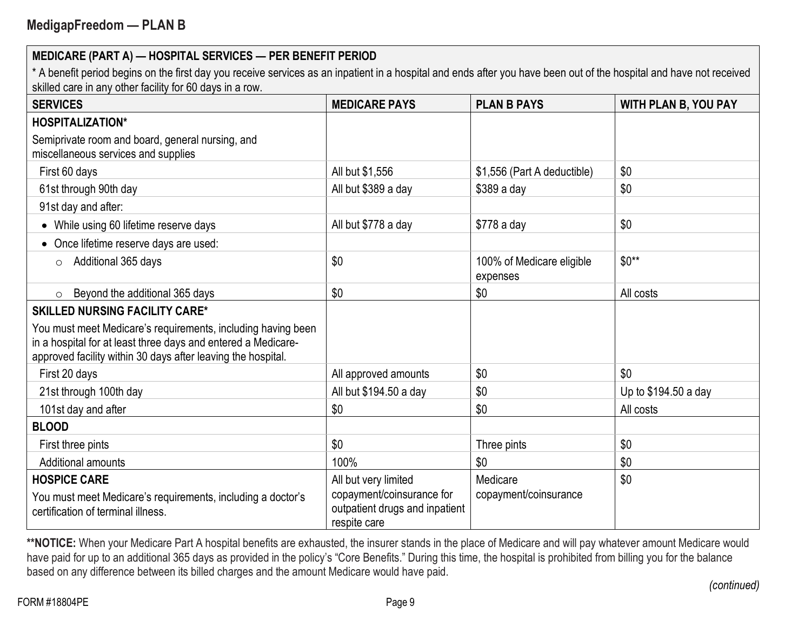\* A benefit period begins on the first day you receive services as an inpatient in a hospital and ends after you have been out of the hospital and have not received skilled care in any other facility for 60 days in a row.

| <b>SERVICES</b>                                                                                                                                                                               | <b>MEDICARE PAYS</b>                                                                                | <b>PLAN B PAYS</b>                    | <b>WITH PLAN B, YOU PAY</b> |
|-----------------------------------------------------------------------------------------------------------------------------------------------------------------------------------------------|-----------------------------------------------------------------------------------------------------|---------------------------------------|-----------------------------|
| <b>HOSPITALIZATION*</b>                                                                                                                                                                       |                                                                                                     |                                       |                             |
| Semiprivate room and board, general nursing, and<br>miscellaneous services and supplies                                                                                                       |                                                                                                     |                                       |                             |
| First 60 days                                                                                                                                                                                 | All but \$1,556                                                                                     | \$1,556 (Part A deductible)           | \$0                         |
| 61st through 90th day                                                                                                                                                                         | All but \$389 a day                                                                                 | \$389 a day                           | \$0                         |
| 91st day and after:                                                                                                                                                                           |                                                                                                     |                                       |                             |
| While using 60 lifetime reserve days<br>$\bullet$                                                                                                                                             | All but \$778 a day                                                                                 | \$778 a day                           | \$0                         |
| Once lifetime reserve days are used:                                                                                                                                                          |                                                                                                     |                                       |                             |
| Additional 365 days<br>$\circ$                                                                                                                                                                | \$0                                                                                                 | 100% of Medicare eligible<br>expenses | $$0**$                      |
| Beyond the additional 365 days<br>$\circ$                                                                                                                                                     | \$0                                                                                                 | \$0                                   | All costs                   |
| <b>SKILLED NURSING FACILITY CARE*</b>                                                                                                                                                         |                                                                                                     |                                       |                             |
| You must meet Medicare's requirements, including having been<br>in a hospital for at least three days and entered a Medicare-<br>approved facility within 30 days after leaving the hospital. |                                                                                                     |                                       |                             |
| First 20 days                                                                                                                                                                                 | All approved amounts                                                                                | \$0                                   | \$0                         |
| 21st through 100th day                                                                                                                                                                        | All but \$194.50 a day                                                                              | \$0                                   | Up to \$194.50 a day        |
| 101st day and after                                                                                                                                                                           | \$0                                                                                                 | \$0                                   | All costs                   |
| <b>BLOOD</b>                                                                                                                                                                                  |                                                                                                     |                                       |                             |
| First three pints                                                                                                                                                                             | \$0                                                                                                 | Three pints                           | \$0                         |
| Additional amounts                                                                                                                                                                            | 100%                                                                                                | \$0                                   | \$0                         |
| <b>HOSPICE CARE</b><br>You must meet Medicare's requirements, including a doctor's<br>certification of terminal illness.                                                                      | All but very limited<br>copayment/coinsurance for<br>outpatient drugs and inpatient<br>respite care | Medicare<br>copayment/coinsurance     | \$0                         |

\*\*NOTICE: When your Medicare Part A hospital benefits are exhausted, the insurer stands in the place of Medicare and will pay whatever amount Medicare would have paid for up to an additional 365 days as provided in the policy's "Core Benefits." During this time, the hospital is prohibited from billing you for the balance based on any difference between its billed charges and the amount Medicare would have paid.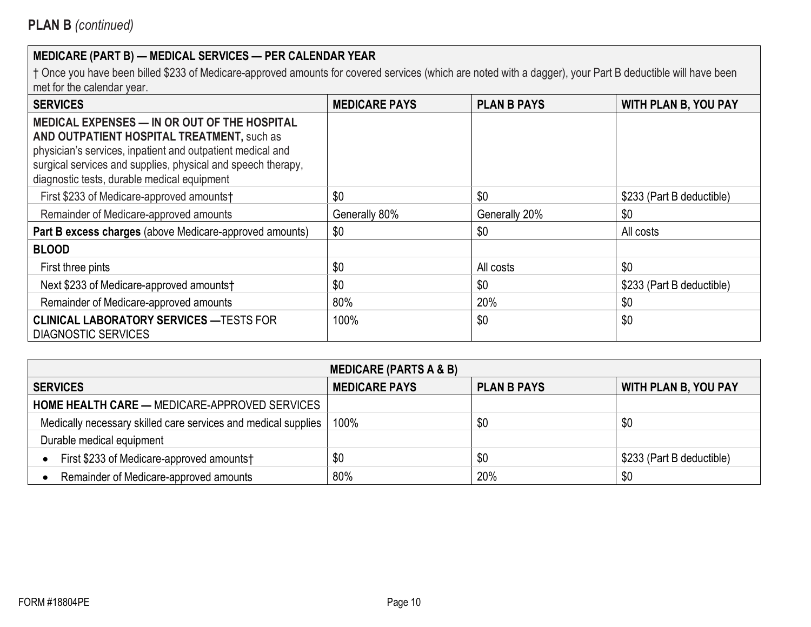| <b>SERVICES</b>                                                                                                                                                                                                                                                         | <b>MEDICARE PAYS</b> | <b>PLAN B PAYS</b> | <b>WITH PLAN B, YOU PAY</b> |
|-------------------------------------------------------------------------------------------------------------------------------------------------------------------------------------------------------------------------------------------------------------------------|----------------------|--------------------|-----------------------------|
| MEDICAL EXPENSES - IN OR OUT OF THE HOSPITAL<br>AND OUTPATIENT HOSPITAL TREATMENT, such as<br>physician's services, inpatient and outpatient medical and<br>surgical services and supplies, physical and speech therapy,<br>diagnostic tests, durable medical equipment |                      |                    |                             |
| First \$233 of Medicare-approved amounts†                                                                                                                                                                                                                               | \$0                  | \$0                | \$233 (Part B deductible)   |
| Remainder of Medicare-approved amounts                                                                                                                                                                                                                                  | Generally 80%        | Generally 20%      | \$0                         |
| Part B excess charges (above Medicare-approved amounts)                                                                                                                                                                                                                 | \$0                  | \$0                | All costs                   |
| <b>BLOOD</b>                                                                                                                                                                                                                                                            |                      |                    |                             |
| First three pints                                                                                                                                                                                                                                                       | \$0                  | All costs          | \$0                         |
| Next \$233 of Medicare-approved amounts†                                                                                                                                                                                                                                | \$0                  | \$0                | \$233 (Part B deductible)   |
| Remainder of Medicare-approved amounts                                                                                                                                                                                                                                  | 80%                  | 20%                | \$0                         |
| <b>CLINICAL LABORATORY SERVICES — TESTS FOR</b><br><b>DIAGNOSTIC SERVICES</b>                                                                                                                                                                                           | 100%                 | \$0                | \$0                         |

| <b>MEDICARE (PARTS A &amp; B)</b>                              |                      |                    |                             |  |  |  |  |  |
|----------------------------------------------------------------|----------------------|--------------------|-----------------------------|--|--|--|--|--|
| <b>SERVICES</b>                                                | <b>MEDICARE PAYS</b> | <b>PLAN B PAYS</b> | <b>WITH PLAN B, YOU PAY</b> |  |  |  |  |  |
| <b>HOME HEALTH CARE — MEDICARE-APPROVED SERVICES</b>           |                      |                    |                             |  |  |  |  |  |
| Medically necessary skilled care services and medical supplies | 100%                 | \$0                | \$0                         |  |  |  |  |  |
| Durable medical equipment                                      |                      |                    |                             |  |  |  |  |  |
| First \$233 of Medicare-approved amounts†                      | \$0                  | \$0                | \$233 (Part B deductible)   |  |  |  |  |  |
| Remainder of Medicare-approved amounts                         | 80%                  | 20%                | \$0                         |  |  |  |  |  |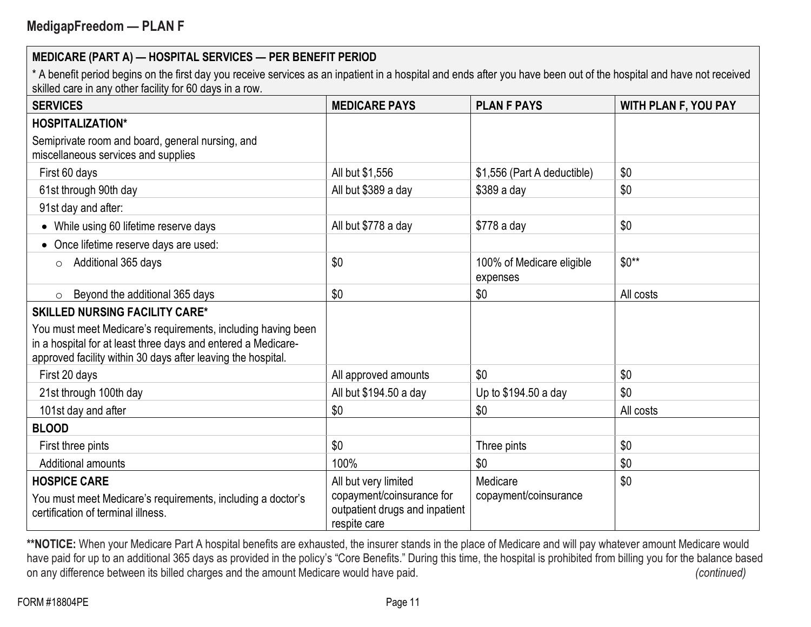\* A benefit period begins on the first day you receive services as an inpatient in a hospital and ends after you have been out of the hospital and have not received skilled care in any other facility for 60 days in a row.

| <b>SERVICES</b>                                                                                                                                                                               | <b>MEDICARE PAYS</b>                                                                                | <b>PLAN F PAYS</b>                    | <b>WITH PLAN F, YOU PAY</b> |
|-----------------------------------------------------------------------------------------------------------------------------------------------------------------------------------------------|-----------------------------------------------------------------------------------------------------|---------------------------------------|-----------------------------|
| <b>HOSPITALIZATION*</b>                                                                                                                                                                       |                                                                                                     |                                       |                             |
| Semiprivate room and board, general nursing, and<br>miscellaneous services and supplies                                                                                                       |                                                                                                     |                                       |                             |
| First 60 days                                                                                                                                                                                 | All but \$1,556                                                                                     | \$1,556 (Part A deductible)           | \$0                         |
| 61st through 90th day                                                                                                                                                                         | All but \$389 a day                                                                                 | $$389a$ day                           | \$0                         |
| 91st day and after:                                                                                                                                                                           |                                                                                                     |                                       |                             |
| While using 60 lifetime reserve days                                                                                                                                                          | All but \$778 a day                                                                                 | \$778 a day                           | \$0                         |
| Once lifetime reserve days are used:                                                                                                                                                          |                                                                                                     |                                       |                             |
| Additional 365 days<br>$\circ$                                                                                                                                                                | \$0                                                                                                 | 100% of Medicare eligible<br>expenses | $$0**$                      |
| Beyond the additional 365 days<br>$\circ$                                                                                                                                                     | \$0                                                                                                 | \$0                                   | All costs                   |
| <b>SKILLED NURSING FACILITY CARE*</b>                                                                                                                                                         |                                                                                                     |                                       |                             |
| You must meet Medicare's requirements, including having been<br>in a hospital for at least three days and entered a Medicare-<br>approved facility within 30 days after leaving the hospital. |                                                                                                     |                                       |                             |
| First 20 days                                                                                                                                                                                 | All approved amounts                                                                                | \$0                                   | \$0                         |
| 21st through 100th day                                                                                                                                                                        | All but \$194.50 a day                                                                              | Up to \$194.50 a day                  | \$0                         |
| 101st day and after                                                                                                                                                                           | \$0                                                                                                 | \$0                                   | All costs                   |
| <b>BLOOD</b>                                                                                                                                                                                  |                                                                                                     |                                       |                             |
| First three pints                                                                                                                                                                             | \$0                                                                                                 | Three pints                           | \$0                         |
| <b>Additional amounts</b>                                                                                                                                                                     | 100%                                                                                                | \$0                                   | \$0                         |
| <b>HOSPICE CARE</b><br>You must meet Medicare's requirements, including a doctor's<br>certification of terminal illness.                                                                      | All but very limited<br>copayment/coinsurance for<br>outpatient drugs and inpatient<br>respite care | Medicare<br>copayment/coinsurance     | \$0                         |

\*\*NOTICE: When your Medicare Part A hospital benefits are exhausted, the insurer stands in the place of Medicare and will pay whatever amount Medicare would have paid for up to an additional 365 days as provided in the policy's "Core Benefits." During this time, the hospital is prohibited from billing you for the balance based on any difference between its billed charges and the amount Medicare would have paid. *(continued)*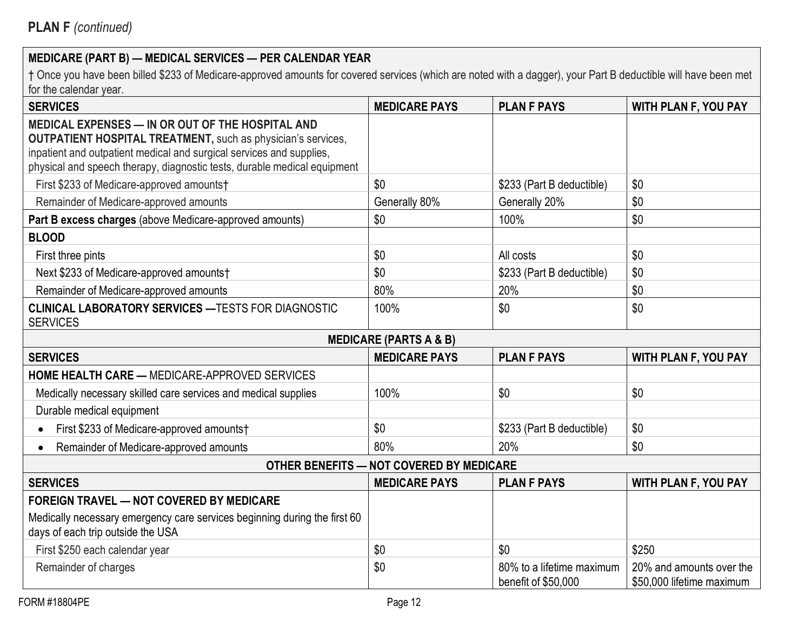| <b>SERVICES</b>                                                                                                                                                                                                                                                             | <b>MEDICARE PAYS</b>                     | <b>PLAN F PAYS</b>                               | WITH PLAN F, YOU PAY                                  |
|-----------------------------------------------------------------------------------------------------------------------------------------------------------------------------------------------------------------------------------------------------------------------------|------------------------------------------|--------------------------------------------------|-------------------------------------------------------|
| MEDICAL EXPENSES - IN OR OUT OF THE HOSPITAL AND<br><b>OUTPATIENT HOSPITAL TREATMENT, such as physician's services,</b><br>inpatient and outpatient medical and surgical services and supplies,<br>physical and speech therapy, diagnostic tests, durable medical equipment |                                          |                                                  |                                                       |
| First \$233 of Medicare-approved amounts†                                                                                                                                                                                                                                   | \$0                                      | \$233 (Part B deductible)                        | \$0                                                   |
| Remainder of Medicare-approved amounts                                                                                                                                                                                                                                      | Generally 80%                            | Generally 20%                                    | \$0                                                   |
| Part B excess charges (above Medicare-approved amounts)                                                                                                                                                                                                                     | \$0                                      | 100%                                             | \$0                                                   |
| <b>BLOOD</b>                                                                                                                                                                                                                                                                |                                          |                                                  |                                                       |
| First three pints                                                                                                                                                                                                                                                           | \$0                                      | All costs                                        | \$0                                                   |
| Next \$233 of Medicare-approved amounts†                                                                                                                                                                                                                                    | \$0                                      | \$233 (Part B deductible)                        | \$0                                                   |
| Remainder of Medicare-approved amounts                                                                                                                                                                                                                                      | 80%                                      | 20%                                              | \$0                                                   |
| <b>CLINICAL LABORATORY SERVICES - TESTS FOR DIAGNOSTIC</b><br><b>SERVICES</b>                                                                                                                                                                                               | 100%                                     | \$0                                              | \$0                                                   |
|                                                                                                                                                                                                                                                                             | <b>MEDICARE (PARTS A &amp; B)</b>        |                                                  |                                                       |
| <b>SERVICES</b>                                                                                                                                                                                                                                                             | <b>MEDICARE PAYS</b>                     | <b>PLAN F PAYS</b>                               | WITH PLAN F, YOU PAY                                  |
| <b>HOME HEALTH CARE - MEDICARE-APPROVED SERVICES</b>                                                                                                                                                                                                                        |                                          |                                                  |                                                       |
| Medically necessary skilled care services and medical supplies                                                                                                                                                                                                              | 100%                                     | \$0                                              | \$0                                                   |
| Durable medical equipment                                                                                                                                                                                                                                                   |                                          |                                                  |                                                       |
| First \$233 of Medicare-approved amounts†                                                                                                                                                                                                                                   | \$0                                      | \$233 (Part B deductible)                        | \$0                                                   |
| Remainder of Medicare-approved amounts<br>$\bullet$                                                                                                                                                                                                                         | 80%                                      | 20%                                              | \$0                                                   |
|                                                                                                                                                                                                                                                                             | OTHER BENEFITS - NOT COVERED BY MEDICARE |                                                  |                                                       |
| <b>SERVICES</b>                                                                                                                                                                                                                                                             | <b>MEDICARE PAYS</b>                     | <b>PLAN F PAYS</b>                               | <b>WITH PLAN F, YOU PAY</b>                           |
| <b>FOREIGN TRAVEL - NOT COVERED BY MEDICARE</b>                                                                                                                                                                                                                             |                                          |                                                  |                                                       |
| Medically necessary emergency care services beginning during the first 60<br>days of each trip outside the USA                                                                                                                                                              |                                          |                                                  |                                                       |
| First \$250 each calendar year                                                                                                                                                                                                                                              | \$0                                      | \$0                                              | \$250                                                 |
| Remainder of charges                                                                                                                                                                                                                                                        | \$0                                      | 80% to a lifetime maximum<br>benefit of \$50,000 | 20% and amounts over the<br>\$50,000 lifetime maximum |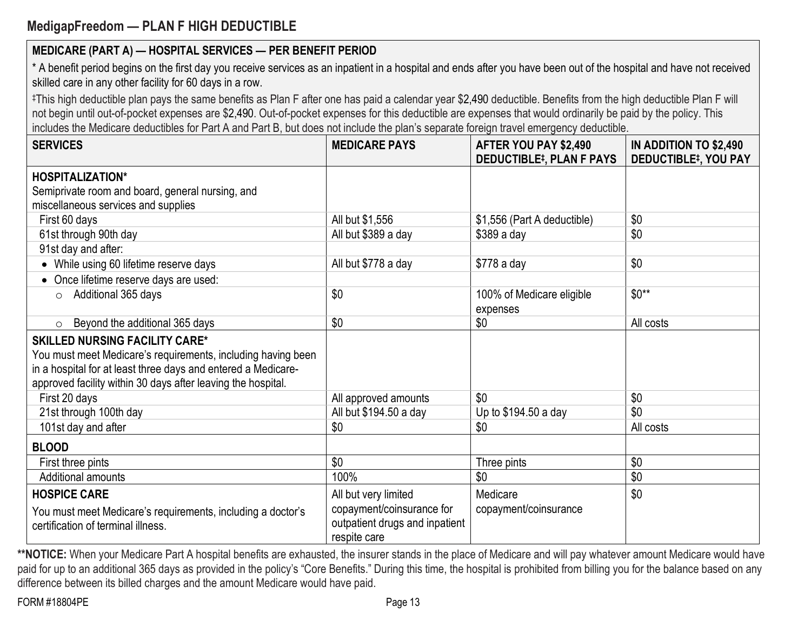# **MedigapFreedom — PLAN F HIGH DEDUCTIBLE**

## **MEDICARE (PART A) — HOSPITAL SERVICES — PER BENEFIT PERIOD**

\* A benefit period begins on the first day you receive services as an inpatient in a hospital and ends after you have been out of the hospital and have not received skilled care in any other facility for 60 days in a row.

‡This high deductible plan pays the same benefits as Plan F after one has paid a calendar year \$2,490 deductible. Benefits from the high deductible Plan F will not begin until out-of-pocket expenses are \$2,490. Out-of-pocket expenses for this deductible are expenses that would ordinarily be paid by the policy. This includes the Medicare deductibles for Part A and Part B, but does not include the plan's separate foreign travel emergency deductible.

| <b>SERVICES</b>                                               | <b>MEDICARE PAYS</b>           | AFTER YOU PAY \$2,490<br><b>DEDUCTIBLE#, PLAN F PAYS</b> | IN ADDITION TO \$2,490<br><b>DEDUCTIBLE#, YOU PAY</b> |
|---------------------------------------------------------------|--------------------------------|----------------------------------------------------------|-------------------------------------------------------|
| <b>HOSPITALIZATION*</b>                                       |                                |                                                          |                                                       |
| Semiprivate room and board, general nursing, and              |                                |                                                          |                                                       |
| miscellaneous services and supplies                           |                                |                                                          |                                                       |
| First 60 days                                                 | All but \$1,556                | \$1,556 (Part A deductible)                              | \$0                                                   |
| 61st through 90th day                                         | All but \$389 a day            | $$389a$ day                                              | \$0                                                   |
| 91st day and after:                                           |                                |                                                          |                                                       |
| While using 60 lifetime reserve days                          | All but \$778 a day            | \$778 a day                                              | \$0                                                   |
| Once lifetime reserve days are used:                          |                                |                                                          |                                                       |
| $\circ$ Additional 365 days                                   | \$0                            | 100% of Medicare eligible                                | $$0**$                                                |
|                                                               |                                | expenses                                                 |                                                       |
| Beyond the additional 365 days<br>$\circ$                     | \$0                            | \$0                                                      | All costs                                             |
| <b>SKILLED NURSING FACILITY CARE*</b>                         |                                |                                                          |                                                       |
| You must meet Medicare's requirements, including having been  |                                |                                                          |                                                       |
| in a hospital for at least three days and entered a Medicare- |                                |                                                          |                                                       |
| approved facility within 30 days after leaving the hospital.  |                                |                                                          |                                                       |
| First 20 days                                                 | All approved amounts           | \$0                                                      | \$0                                                   |
| 21st through 100th day                                        | All but \$194.50 a day         | Up to \$194.50 a day                                     | \$0                                                   |
| 101st day and after                                           | \$0                            | \$0                                                      | All costs                                             |
| <b>BLOOD</b>                                                  |                                |                                                          |                                                       |
| First three pints                                             | \$0                            | Three pints                                              | \$0                                                   |
| Additional amounts                                            | 100%                           | \$0                                                      | \$0                                                   |
| <b>HOSPICE CARE</b>                                           | All but very limited           | Medicare                                                 | \$0                                                   |
| You must meet Medicare's requirements, including a doctor's   | copayment/coinsurance for      | copayment/coinsurance                                    |                                                       |
| certification of terminal illness.                            | outpatient drugs and inpatient |                                                          |                                                       |
|                                                               | respite care                   |                                                          |                                                       |

**\*\*NOTICE:** When your Medicare Part A hospital benefits are exhausted, the insurer stands in the place of Medicare and will pay whatever amount Medicare would have paid for up to an additional 365 days as provided in the policy's "Core Benefits." During this time, the hospital is prohibited from billing you for the balance based on any difference between its billed charges and the amount Medicare would have paid.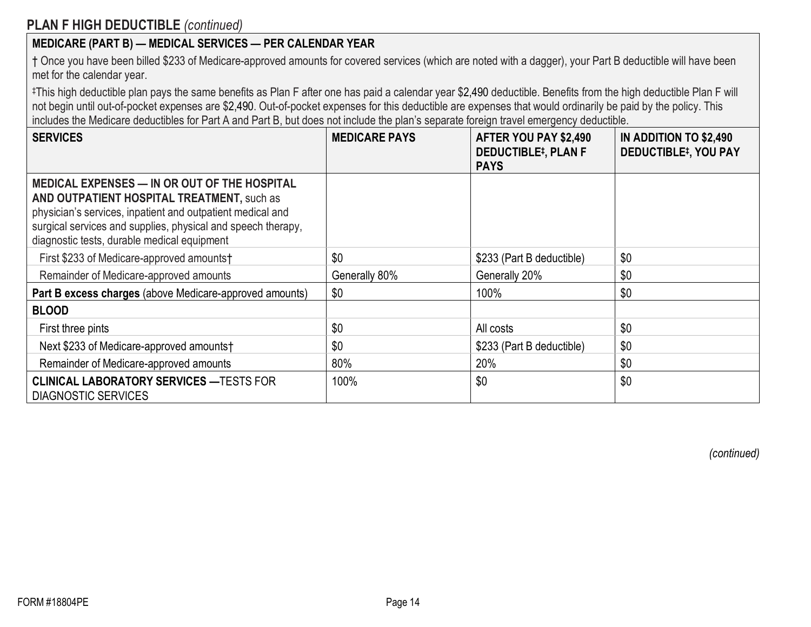† Once you have been billed \$233 of Medicare-approved amounts for covered services (which are noted with a dagger), your Part B deductible will have been met for the calendar year.

‡This high deductible plan pays the same benefits as Plan F after one has paid a calendar year \$2,490 deductible. Benefits from the high deductible Plan F will not begin until out-of-pocket expenses are \$2,490. Out-of-pocket expenses for this deductible are expenses that would ordinarily be paid by the policy. This includes the Medicare deductibles for Part A and Part B, but does not include the plan's separate foreign travel emergency deductible.

| <b>SERVICES</b>                                                                                                                                                                                                                                                                | <b>MEDICARE PAYS</b> | AFTER YOU PAY \$2,490<br><b>DEDUCTIBLE#, PLAN F</b><br><b>PAYS</b> | IN ADDITION TO \$2,490<br><b>DEDUCTIBLE#, YOU PAY</b> |
|--------------------------------------------------------------------------------------------------------------------------------------------------------------------------------------------------------------------------------------------------------------------------------|----------------------|--------------------------------------------------------------------|-------------------------------------------------------|
| <b>MEDICAL EXPENSES — IN OR OUT OF THE HOSPITAL</b><br>AND OUTPATIENT HOSPITAL TREATMENT, such as<br>physician's services, inpatient and outpatient medical and<br>surgical services and supplies, physical and speech therapy,<br>diagnostic tests, durable medical equipment |                      |                                                                    |                                                       |
| First \$233 of Medicare-approved amounts†                                                                                                                                                                                                                                      | \$0                  | \$233 (Part B deductible)                                          | \$0                                                   |
| Remainder of Medicare-approved amounts                                                                                                                                                                                                                                         | Generally 80%        | Generally 20%                                                      | \$0                                                   |
| Part B excess charges (above Medicare-approved amounts)                                                                                                                                                                                                                        | \$0                  | 100%                                                               | \$0                                                   |
| <b>BLOOD</b>                                                                                                                                                                                                                                                                   |                      |                                                                    |                                                       |
| First three pints                                                                                                                                                                                                                                                              | \$0                  | All costs                                                          | \$0                                                   |
| Next \$233 of Medicare-approved amounts†                                                                                                                                                                                                                                       | \$0                  | \$233 (Part B deductible)                                          | \$0                                                   |
| Remainder of Medicare-approved amounts                                                                                                                                                                                                                                         | 80%                  | 20%                                                                | \$0                                                   |
| <b>CLINICAL LABORATORY SERVICES — TESTS FOR</b><br><b>DIAGNOSTIC SERVICES</b>                                                                                                                                                                                                  | 100%                 | \$0                                                                | \$0                                                   |

*(continued)*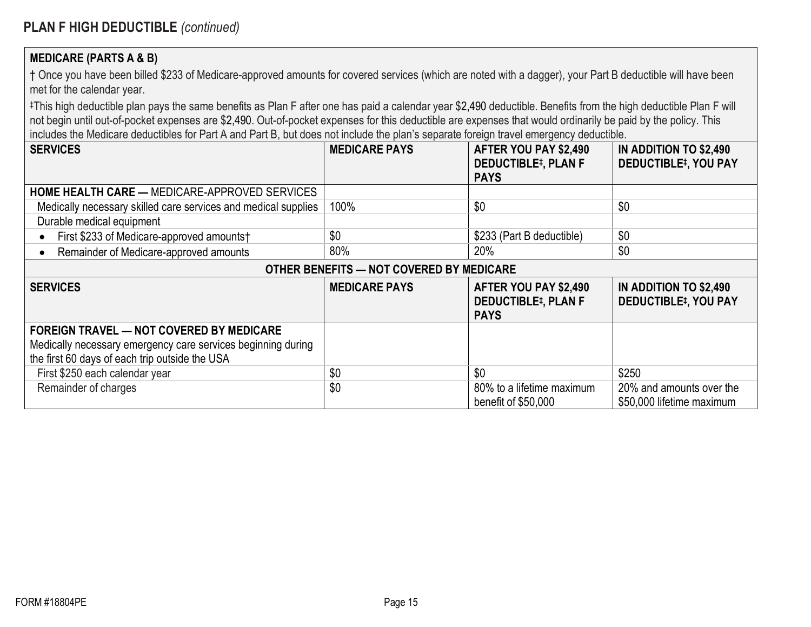#### **MEDICARE (PARTS A & B)**

† Once you have been billed \$233 of Medicare-approved amounts for covered services (which are noted with a dagger), your Part B deductible will have been met for the calendar year.

‡This high deductible plan pays the same benefits as Plan F after one has paid a calendar year \$2,490 deductible. Benefits from the high deductible Plan F will not begin until out-of-pocket expenses are \$2,490. Out-of-pocket expenses for this deductible are expenses that would ordinarily be paid by the policy. This includes the Medicare deductibles for Part A and Part B, but does not include the plan's separate foreign travel emergency deductible.

| <b>SERVICES</b>                                                | <b>MEDICARE PAYS</b> | AFTER YOU PAY \$2,490      | IN ADDITION TO \$2,490                 |
|----------------------------------------------------------------|----------------------|----------------------------|----------------------------------------|
|                                                                |                      | <b>DEDUCTIBLE#, PLAN F</b> | <b>DEDUCTIBLE#, YOU PAY</b>            |
|                                                                |                      | <b>PAYS</b>                |                                        |
| <b>HOME HEALTH CARE — MEDICARE-APPROVED SERVICES</b>           |                      |                            |                                        |
| Medically necessary skilled care services and medical supplies | 100%                 | \$0                        | \$0                                    |
| Durable medical equipment                                      |                      |                            |                                        |
| First \$233 of Medicare-approved amounts†                      | \$0                  | \$233 (Part B deductible)  | \$0                                    |
| Remainder of Medicare-approved amounts                         | 80%                  | 20%                        | \$0                                    |
| OTHER BENEFITS - NOT COVERED BY MEDICARE                       |                      |                            |                                        |
|                                                                |                      |                            |                                        |
| <b>SERVICES</b>                                                | <b>MEDICARE PAYS</b> | AFTER YOU PAY \$2,490      | IN ADDITION TO \$2,490                 |
|                                                                |                      | <b>DEDUCTIBLE#, PLAN F</b> | <b>DEDUCTIBLE<sup>‡</sup>, YOU PAY</b> |
|                                                                |                      | <b>PAYS</b>                |                                        |
| <b>FOREIGN TRAVEL — NOT COVERED BY MEDICARE</b>                |                      |                            |                                        |
| Medically necessary emergency care services beginning during   |                      |                            |                                        |
| the first 60 days of each trip outside the USA                 |                      |                            |                                        |
| First \$250 each calendar year                                 | \$0                  | \$0                        | \$250                                  |
| Remainder of charges                                           | \$0                  | 80% to a lifetime maximum  | 20% and amounts over the               |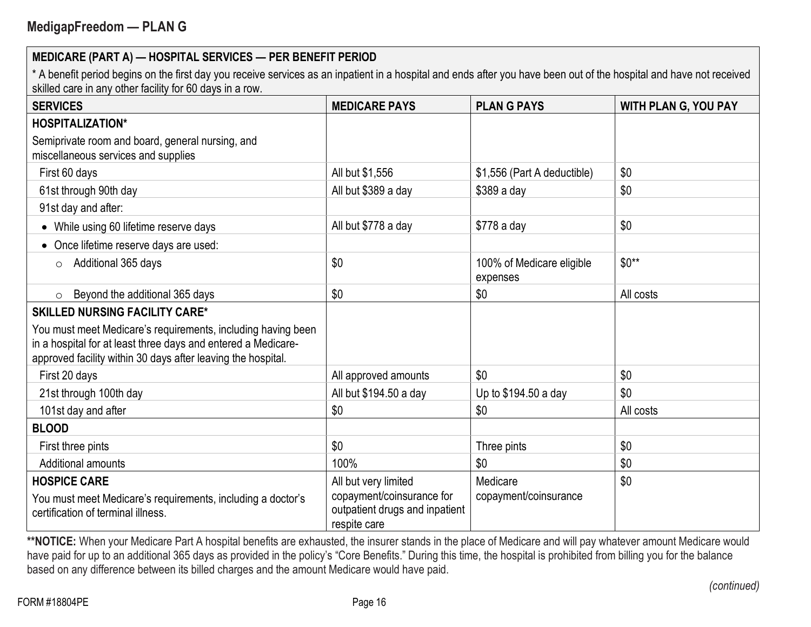\* A benefit period begins on the first day you receive services as an inpatient in a hospital and ends after you have been out of the hospital and have not received skilled care in any other facility for 60 days in a row.

| <b>SERVICES</b>                                                                                                                                                                               | <b>MEDICARE PAYS</b>                                                                                | <b>PLAN G PAYS</b>                    | <b>WITH PLAN G, YOU PAY</b> |
|-----------------------------------------------------------------------------------------------------------------------------------------------------------------------------------------------|-----------------------------------------------------------------------------------------------------|---------------------------------------|-----------------------------|
| <b>HOSPITALIZATION*</b>                                                                                                                                                                       |                                                                                                     |                                       |                             |
| Semiprivate room and board, general nursing, and<br>miscellaneous services and supplies                                                                                                       |                                                                                                     |                                       |                             |
| First 60 days                                                                                                                                                                                 | All but \$1,556                                                                                     | \$1,556 (Part A deductible)           | \$0                         |
| 61st through 90th day                                                                                                                                                                         | All but \$389 a day                                                                                 | \$389 a day                           | \$0                         |
| 91st day and after:                                                                                                                                                                           |                                                                                                     |                                       |                             |
| While using 60 lifetime reserve days                                                                                                                                                          | All but \$778 a day                                                                                 | \$778 a day                           | \$0                         |
| Once lifetime reserve days are used:                                                                                                                                                          |                                                                                                     |                                       |                             |
| Additional 365 days<br>$\circ$                                                                                                                                                                | \$0                                                                                                 | 100% of Medicare eligible<br>expenses | $$0**$                      |
| Beyond the additional 365 days<br>$\circ$                                                                                                                                                     | \$0                                                                                                 | \$0                                   | All costs                   |
| <b>SKILLED NURSING FACILITY CARE*</b>                                                                                                                                                         |                                                                                                     |                                       |                             |
| You must meet Medicare's requirements, including having been<br>in a hospital for at least three days and entered a Medicare-<br>approved facility within 30 days after leaving the hospital. |                                                                                                     |                                       |                             |
| First 20 days                                                                                                                                                                                 | All approved amounts                                                                                | \$0                                   | \$0                         |
| 21st through 100th day                                                                                                                                                                        | All but \$194.50 a day                                                                              | Up to \$194.50 a day                  | \$0                         |
| 101st day and after                                                                                                                                                                           | \$0                                                                                                 | \$0                                   | All costs                   |
| <b>BLOOD</b>                                                                                                                                                                                  |                                                                                                     |                                       |                             |
| First three pints                                                                                                                                                                             | \$0                                                                                                 | Three pints                           | \$0                         |
| Additional amounts                                                                                                                                                                            | 100%                                                                                                | \$0                                   | \$0                         |
| <b>HOSPICE CARE</b><br>You must meet Medicare's requirements, including a doctor's<br>certification of terminal illness.                                                                      | All but very limited<br>copayment/coinsurance for<br>outpatient drugs and inpatient<br>respite care | Medicare<br>copayment/coinsurance     | \$0                         |

\*\*NOTICE: When your Medicare Part A hospital benefits are exhausted, the insurer stands in the place of Medicare and will pay whatever amount Medicare would have paid for up to an additional 365 days as provided in the policy's "Core Benefits." During this time, the hospital is prohibited from billing you for the balance based on any difference between its billed charges and the amount Medicare would have paid.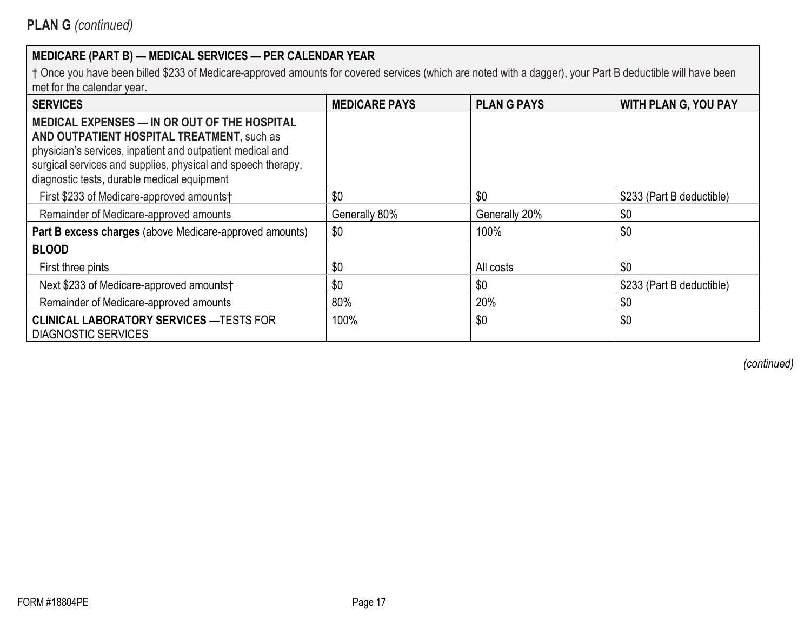† Once you have been billed \$233 of Medicare-approved amounts for covered services (which are noted with a dagger), your Part B deductible will have been met for the calendar year.

| <b>SERVICES</b>                                                                                                                                                                                                                                                         | <b>MEDICARE PAYS</b> | <b>PLAN G PAYS</b> | <b>WITH PLAN G, YOU PAY</b> |
|-------------------------------------------------------------------------------------------------------------------------------------------------------------------------------------------------------------------------------------------------------------------------|----------------------|--------------------|-----------------------------|
| MEDICAL EXPENSES - IN OR OUT OF THE HOSPITAL<br>AND OUTPATIENT HOSPITAL TREATMENT, such as<br>physician's services, inpatient and outpatient medical and<br>surgical services and supplies, physical and speech therapy,<br>diagnostic tests, durable medical equipment |                      |                    |                             |
| First \$233 of Medicare-approved amounts†                                                                                                                                                                                                                               | \$0                  | \$0                | \$233 (Part B deductible)   |
| Remainder of Medicare-approved amounts                                                                                                                                                                                                                                  | Generally 80%        | Generally 20%      | \$0                         |
| Part B excess charges (above Medicare-approved amounts)                                                                                                                                                                                                                 | \$0                  | 100%               | \$0                         |
| <b>BLOOD</b>                                                                                                                                                                                                                                                            |                      |                    |                             |
| First three pints                                                                                                                                                                                                                                                       | \$0                  | All costs          | \$0                         |
| Next \$233 of Medicare-approved amounts†                                                                                                                                                                                                                                | \$0                  | \$0                | \$233 (Part B deductible)   |
| Remainder of Medicare-approved amounts                                                                                                                                                                                                                                  | 80%                  | 20%                | \$0                         |
| <b>CLINICAL LABORATORY SERVICES - TESTS FOR</b><br><b>DIAGNOSTIC SERVICES</b>                                                                                                                                                                                           | 100%                 | \$0                | \$0                         |

*(continued)*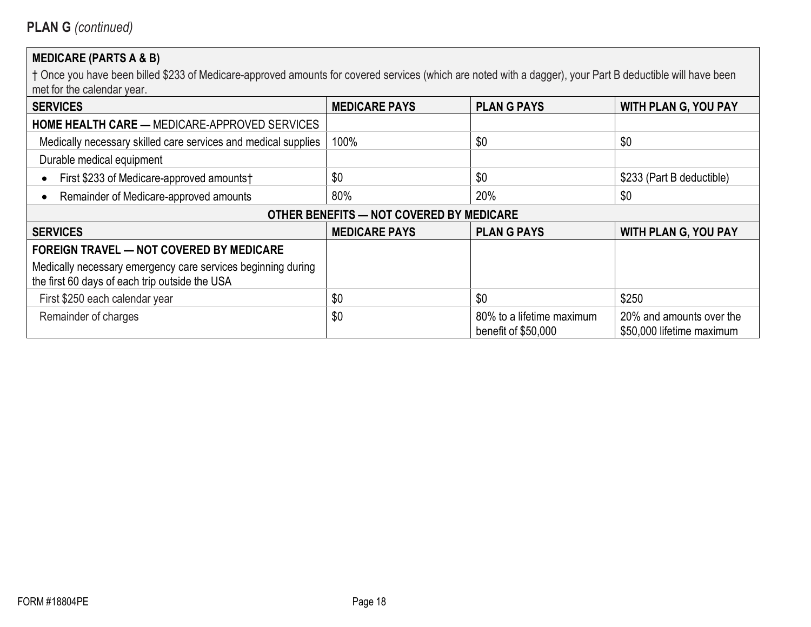# **MEDICARE (PARTS A & B)**

| <b>SERVICES</b>                                                                                                | <b>MEDICARE PAYS</b>                     | <b>PLAN G PAYS</b>                               | <b>WITH PLAN G, YOU PAY</b>                           |
|----------------------------------------------------------------------------------------------------------------|------------------------------------------|--------------------------------------------------|-------------------------------------------------------|
| <b>HOME HEALTH CARE — MEDICARE-APPROVED SERVICES</b>                                                           |                                          |                                                  |                                                       |
| Medically necessary skilled care services and medical supplies                                                 | 100%                                     | \$0                                              | \$0                                                   |
| Durable medical equipment                                                                                      |                                          |                                                  |                                                       |
| First \$233 of Medicare-approved amounts†                                                                      | \$0                                      | \$0                                              | \$233 (Part B deductible)                             |
| Remainder of Medicare-approved amounts                                                                         | 80%                                      | 20%                                              | \$0                                                   |
|                                                                                                                | OTHER BENEFITS - NOT COVERED BY MEDICARE |                                                  |                                                       |
| <b>SERVICES</b>                                                                                                | <b>MEDICARE PAYS</b>                     | <b>PLANG PAYS</b>                                | <b>WITH PLAN G, YOU PAY</b>                           |
| <b>FOREIGN TRAVEL — NOT COVERED BY MEDICARE</b>                                                                |                                          |                                                  |                                                       |
| Medically necessary emergency care services beginning during<br>the first 60 days of each trip outside the USA |                                          |                                                  |                                                       |
| First \$250 each calendar year                                                                                 | \$0                                      | \$0                                              | \$250                                                 |
| Remainder of charges                                                                                           | \$0                                      | 80% to a lifetime maximum<br>benefit of \$50,000 | 20% and amounts over the<br>\$50,000 lifetime maximum |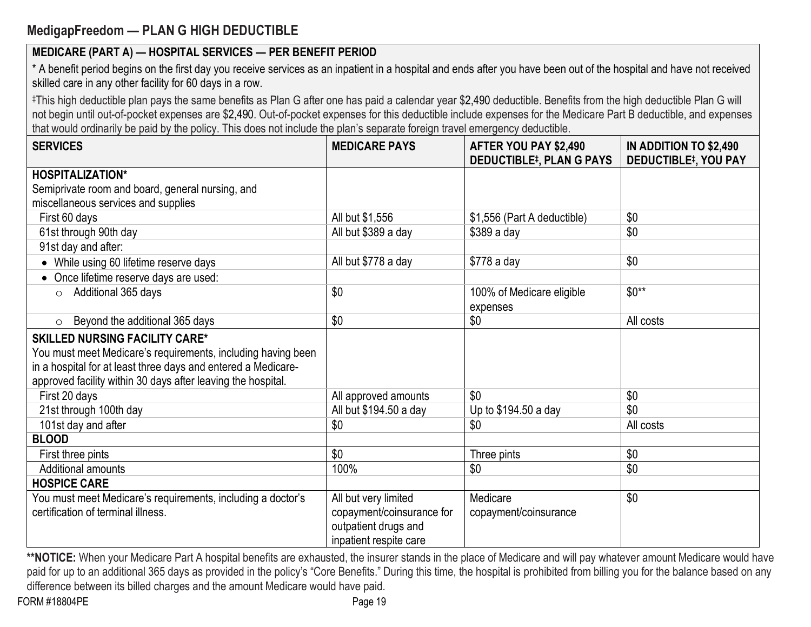# **MedigapFreedom — PLAN G HIGH DEDUCTIBLE**

# **MEDICARE (PART A) — HOSPITAL SERVICES — PER BENEFIT PERIOD**

\* A benefit period begins on the first day you receive services as an inpatient in a hospital and ends after you have been out of the hospital and have not received skilled care in any other facility for 60 days in a row.

‡This high deductible plan pays the same benefits as Plan G after one has paid a calendar year \$2,490 deductible. Benefits from the high deductible Plan G will not begin until out-of-pocket expenses are \$2,490. Out-of-pocket expenses for this deductible include expenses for the Medicare Part B deductible, and expenses that would ordinarily be paid by the policy. This does not include the plan's separate foreign travel emergency deductible.

| <b>SERVICES</b>                                               | <b>MEDICARE PAYS</b>      | AFTER YOU PAY \$2,490<br><b>DEDUCTIBLE#, PLAN G PAYS</b> | IN ADDITION TO \$2,490<br><b>DEDUCTIBLE#, YOU PAY</b> |
|---------------------------------------------------------------|---------------------------|----------------------------------------------------------|-------------------------------------------------------|
| <b>HOSPITALIZATION*</b>                                       |                           |                                                          |                                                       |
| Semiprivate room and board, general nursing, and              |                           |                                                          |                                                       |
| miscellaneous services and supplies                           |                           |                                                          |                                                       |
| First 60 days                                                 | All but \$1,556           | \$1,556 (Part A deductible)                              | \$0                                                   |
| 61st through 90th day                                         | All but \$389 a day       | \$389 a day                                              | \$0                                                   |
| 91st day and after:                                           |                           |                                                          |                                                       |
| While using 60 lifetime reserve days                          | All but \$778 a day       | \$778 a day                                              | \$0                                                   |
| Once lifetime reserve days are used:                          |                           |                                                          |                                                       |
| Additional 365 days<br>$\circ$                                | \$0                       | 100% of Medicare eligible<br>expenses                    | $$0**$                                                |
| Beyond the additional 365 days<br>$\circ$                     | \$0                       | \$0                                                      | All costs                                             |
| <b>SKILLED NURSING FACILITY CARE*</b>                         |                           |                                                          |                                                       |
| You must meet Medicare's requirements, including having been  |                           |                                                          |                                                       |
| in a hospital for at least three days and entered a Medicare- |                           |                                                          |                                                       |
| approved facility within 30 days after leaving the hospital.  |                           |                                                          |                                                       |
| First 20 days                                                 | All approved amounts      | \$0                                                      | \$0                                                   |
| 21st through 100th day                                        | All but \$194.50 a day    | Up to \$194.50 a day                                     | \$0                                                   |
| 101st day and after                                           | \$0                       | \$0                                                      | All costs                                             |
| <b>BLOOD</b>                                                  |                           |                                                          |                                                       |
| First three pints                                             | \$0                       | Three pints                                              | \$0                                                   |
| <b>Additional amounts</b>                                     | 100%                      | \$0                                                      | \$0                                                   |
| <b>HOSPICE CARE</b>                                           |                           |                                                          |                                                       |
| You must meet Medicare's requirements, including a doctor's   | All but very limited      | Medicare                                                 | \$0                                                   |
| certification of terminal illness.                            | copayment/coinsurance for | copayment/coinsurance                                    |                                                       |
|                                                               | outpatient drugs and      |                                                          |                                                       |
|                                                               | inpatient respite care    |                                                          |                                                       |

\*\*NOTICE: When your Medicare Part A hospital benefits are exhausted, the insurer stands in the place of Medicare and will pay whatever amount Medicare would have paid for up to an additional 365 days as provided in the policy's "Core Benefits." During this time, the hospital is prohibited from billing you for the balance based on any difference between its billed charges and the amount Medicare would have paid.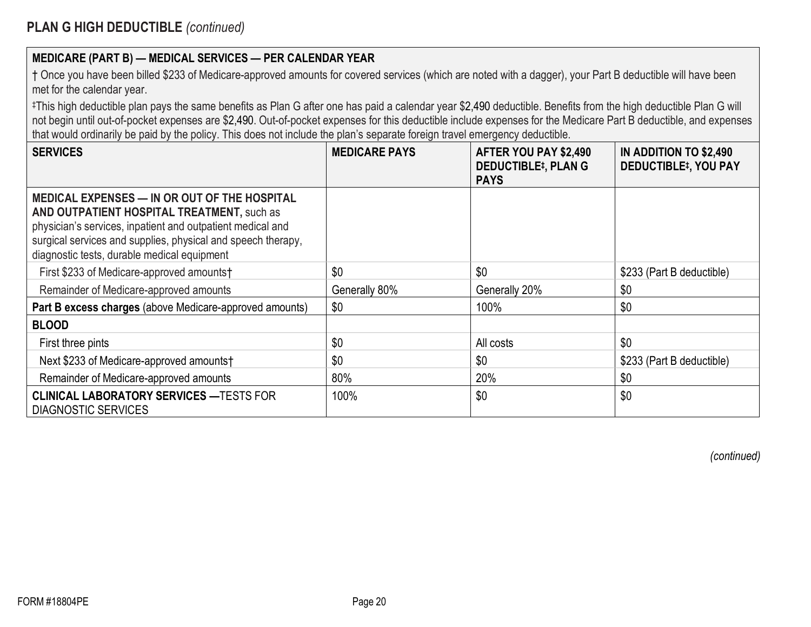| † Once you have been billed \$233 of Medicare-approved amounts for covered services (which are noted with a dagger), your Part B deductible will have been |  |
|------------------------------------------------------------------------------------------------------------------------------------------------------------|--|
| met for the calendar year.                                                                                                                                 |  |

‡This high deductible plan pays the same benefits as Plan G after one has paid a calendar year \$2,490 deductible. Benefits from the high deductible Plan G will not begin until out-of-pocket expenses are \$2,490. Out-of-pocket expenses for this deductible include expenses for the Medicare Part B deductible, and expenses that would ordinarily be paid by the policy. This does not include the plan's separate foreign travel emergency deductible.

| <b>SERVICES</b>                                                                                                                                                                                                                                                         | <b>MEDICARE PAYS</b> | AFTER YOU PAY \$2,490<br><b>DEDUCTIBLE#, PLAN G</b><br><b>PAYS</b> | IN ADDITION TO \$2,490<br><b>DEDUCTIBLE<sup>‡</sup>, YOU PAY</b> |
|-------------------------------------------------------------------------------------------------------------------------------------------------------------------------------------------------------------------------------------------------------------------------|----------------------|--------------------------------------------------------------------|------------------------------------------------------------------|
| MEDICAL EXPENSES — IN OR OUT OF THE HOSPITAL<br>AND OUTPATIENT HOSPITAL TREATMENT, such as<br>physician's services, inpatient and outpatient medical and<br>surgical services and supplies, physical and speech therapy,<br>diagnostic tests, durable medical equipment |                      |                                                                    |                                                                  |
| First \$233 of Medicare-approved amounts†                                                                                                                                                                                                                               | \$0                  | \$0                                                                | \$233 (Part B deductible)                                        |
| Remainder of Medicare-approved amounts                                                                                                                                                                                                                                  | Generally 80%        | Generally 20%                                                      | \$0                                                              |
| Part B excess charges (above Medicare-approved amounts)                                                                                                                                                                                                                 | \$0                  | 100%                                                               | \$0                                                              |
| <b>BLOOD</b>                                                                                                                                                                                                                                                            |                      |                                                                    |                                                                  |
| First three pints                                                                                                                                                                                                                                                       | \$0                  | All costs                                                          | \$0                                                              |
| Next \$233 of Medicare-approved amounts†                                                                                                                                                                                                                                | \$0                  | \$0                                                                | \$233 (Part B deductible)                                        |
| Remainder of Medicare-approved amounts                                                                                                                                                                                                                                  | 80%                  | 20%                                                                | \$0                                                              |
| <b>CLINICAL LABORATORY SERVICES - TESTS FOR</b><br><b>DIAGNOSTIC SERVICES</b>                                                                                                                                                                                           | 100%                 | \$0                                                                | \$0                                                              |

*(continued)*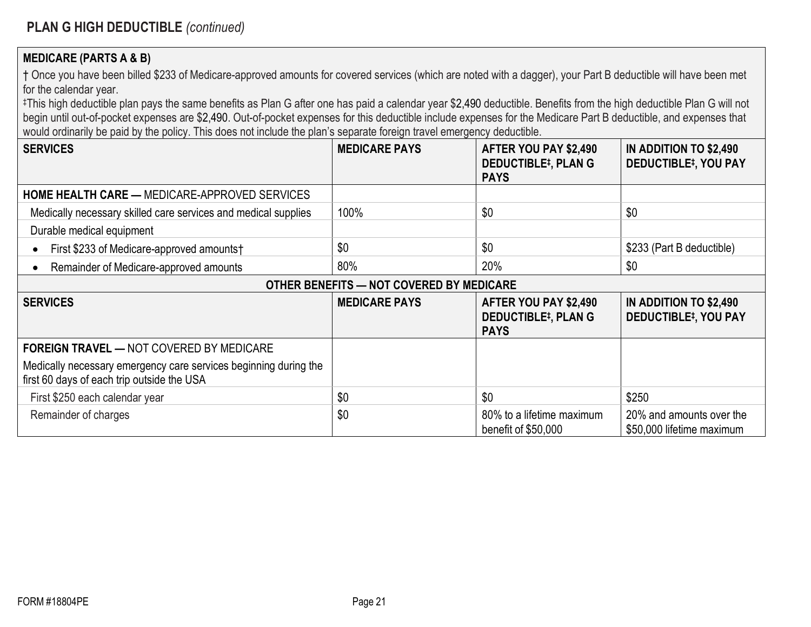#### **MEDICARE (PARTS A & B)**

† Once you have been billed \$233 of Medicare-approved amounts for covered services (which are noted with a dagger), your Part B deductible will have been met for the calendar year.

‡This high deductible plan pays the same benefits as Plan G after one has paid a calendar year \$2,490 deductible. Benefits from the high deductible Plan G will not begin until out-of-pocket expenses are \$2,490. Out-of-pocket expenses for this deductible include expenses for the Medicare Part B deductible, and expenses that would ordinarily be paid by the policy. This does not include the plan's separate foreign travel emergency deductible.

| <b>SERVICES</b>                                                                                                | <b>MEDICARE PAYS</b>                     | AFTER YOU PAY \$2,490<br><b>DEDUCTIBLE#, PLAN G</b><br><b>PAYS</b> | IN ADDITION TO \$2,490<br><b>DEDUCTIBLE#, YOU PAY</b> |
|----------------------------------------------------------------------------------------------------------------|------------------------------------------|--------------------------------------------------------------------|-------------------------------------------------------|
| <b>HOME HEALTH CARE — MEDICARE-APPROVED SERVICES</b>                                                           |                                          |                                                                    |                                                       |
| Medically necessary skilled care services and medical supplies                                                 | 100%                                     | \$0                                                                | \$0                                                   |
| Durable medical equipment                                                                                      |                                          |                                                                    |                                                       |
| First \$233 of Medicare-approved amounts†                                                                      | \$0                                      | \$0                                                                | \$233 (Part B deductible)                             |
| Remainder of Medicare-approved amounts                                                                         | 80%                                      | 20%                                                                | \$0                                                   |
|                                                                                                                | OTHER BENEFITS - NOT COVERED BY MEDICARE |                                                                    |                                                       |
| <b>SERVICES</b>                                                                                                | <b>MEDICARE PAYS</b>                     | AFTER YOU PAY \$2,490<br><b>DEDUCTIBLE#, PLAN G</b><br><b>PAYS</b> | IN ADDITION TO \$2,490<br><b>DEDUCTIBLE#, YOU PAY</b> |
| <b>FOREIGN TRAVEL — NOT COVERED BY MEDICARE</b>                                                                |                                          |                                                                    |                                                       |
| Medically necessary emergency care services beginning during the<br>first 60 days of each trip outside the USA |                                          |                                                                    |                                                       |
| First \$250 each calendar year                                                                                 | \$0                                      | \$0                                                                | \$250                                                 |
| Remainder of charges                                                                                           | \$0                                      | 80% to a lifetime maximum<br>benefit of \$50,000                   | 20% and amounts over the<br>\$50,000 lifetime maximum |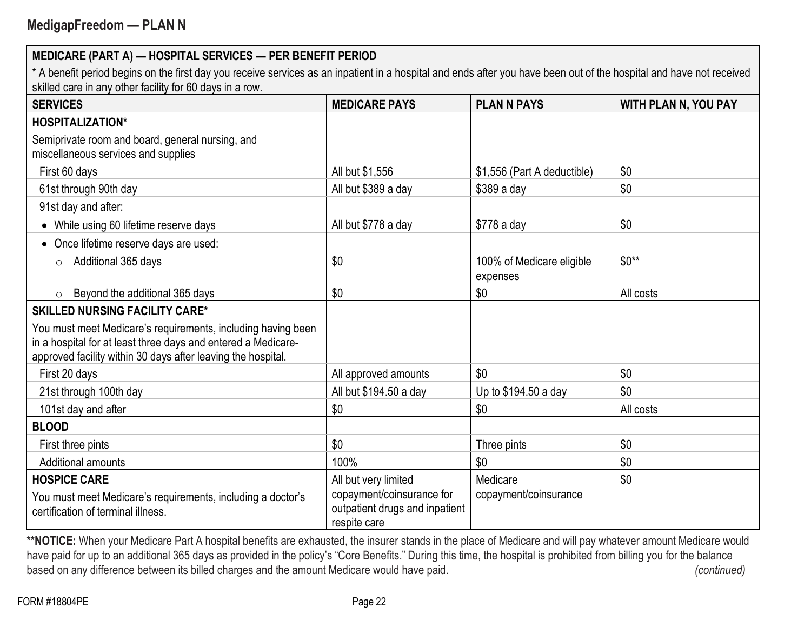\* A benefit period begins on the first day you receive services as an inpatient in a hospital and ends after you have been out of the hospital and have not received skilled care in any other facility for 60 days in a row.

| <b>SERVICES</b>                                                                                                                                                                               | <b>MEDICARE PAYS</b>                                                                                | <b>PLAN N PAYS</b>                    | <b>WITH PLAN N, YOU PAY</b> |
|-----------------------------------------------------------------------------------------------------------------------------------------------------------------------------------------------|-----------------------------------------------------------------------------------------------------|---------------------------------------|-----------------------------|
| <b>HOSPITALIZATION*</b>                                                                                                                                                                       |                                                                                                     |                                       |                             |
| Semiprivate room and board, general nursing, and<br>miscellaneous services and supplies                                                                                                       |                                                                                                     |                                       |                             |
| First 60 days                                                                                                                                                                                 | All but \$1,556                                                                                     | \$1,556 (Part A deductible)           | \$0                         |
| 61st through 90th day                                                                                                                                                                         | All but \$389 a day                                                                                 | \$389 a day                           | \$0                         |
| 91st day and after:                                                                                                                                                                           |                                                                                                     |                                       |                             |
| While using 60 lifetime reserve days<br>$\bullet$                                                                                                                                             | All but \$778 a day                                                                                 | \$778 a day                           | \$0                         |
| Once lifetime reserve days are used:                                                                                                                                                          |                                                                                                     |                                       |                             |
| Additional 365 days<br>$\circ$                                                                                                                                                                | \$0                                                                                                 | 100% of Medicare eligible<br>expenses | $$0**$                      |
| Beyond the additional 365 days<br>$\circ$                                                                                                                                                     | \$0                                                                                                 | \$0                                   | All costs                   |
| <b>SKILLED NURSING FACILITY CARE*</b>                                                                                                                                                         |                                                                                                     |                                       |                             |
| You must meet Medicare's requirements, including having been<br>in a hospital for at least three days and entered a Medicare-<br>approved facility within 30 days after leaving the hospital. |                                                                                                     |                                       |                             |
| First 20 days                                                                                                                                                                                 | All approved amounts                                                                                | \$0                                   | \$0                         |
| 21st through 100th day                                                                                                                                                                        | All but \$194.50 a day                                                                              | Up to \$194.50 a day                  | \$0                         |
| 101st day and after                                                                                                                                                                           | \$0                                                                                                 | \$0                                   | All costs                   |
| <b>BLOOD</b>                                                                                                                                                                                  |                                                                                                     |                                       |                             |
| First three pints                                                                                                                                                                             | \$0                                                                                                 | Three pints                           | \$0                         |
| Additional amounts                                                                                                                                                                            | 100%                                                                                                | \$0                                   | \$0                         |
| <b>HOSPICE CARE</b><br>You must meet Medicare's requirements, including a doctor's<br>certification of terminal illness.                                                                      | All but very limited<br>copayment/coinsurance for<br>outpatient drugs and inpatient<br>respite care | Medicare<br>copayment/coinsurance     | \$0                         |

\*\*NOTICE: When your Medicare Part A hospital benefits are exhausted, the insurer stands in the place of Medicare and will pay whatever amount Medicare would have paid for up to an additional 365 days as provided in the policy's "Core Benefits." During this time, the hospital is prohibited from billing you for the balance based on any difference between its billed charges and the amount Medicare would have paid. (continued) (continued)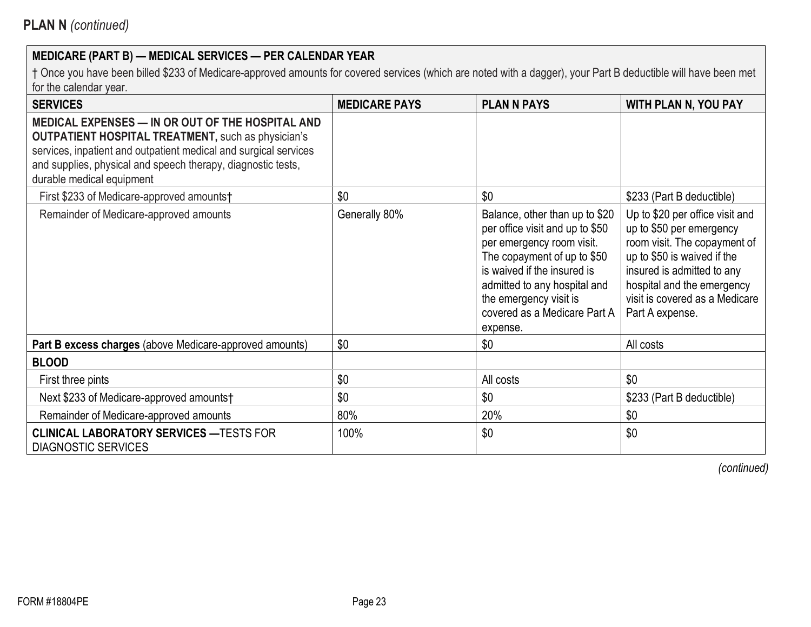† Once you have been billed \$233 of Medicare-approved amounts for covered services (which are noted with a dagger), your Part B deductible will have been met for the calendar year.

| <b>SERVICES</b>                                                                                                                                                                                                                                                                | <b>MEDICARE PAYS</b> | <b>PLAN N PAYS</b>                                                                                                                                                                                                                                                 | <b>WITH PLAN N, YOU PAY</b>                                                                                                                                                                                                                 |
|--------------------------------------------------------------------------------------------------------------------------------------------------------------------------------------------------------------------------------------------------------------------------------|----------------------|--------------------------------------------------------------------------------------------------------------------------------------------------------------------------------------------------------------------------------------------------------------------|---------------------------------------------------------------------------------------------------------------------------------------------------------------------------------------------------------------------------------------------|
| MEDICAL EXPENSES - IN OR OUT OF THE HOSPITAL AND<br><b>OUTPATIENT HOSPITAL TREATMENT, such as physician's</b><br>services, inpatient and outpatient medical and surgical services<br>and supplies, physical and speech therapy, diagnostic tests,<br>durable medical equipment |                      |                                                                                                                                                                                                                                                                    |                                                                                                                                                                                                                                             |
| First \$233 of Medicare-approved amounts†                                                                                                                                                                                                                                      | \$0                  | \$0                                                                                                                                                                                                                                                                | \$233 (Part B deductible)                                                                                                                                                                                                                   |
| Remainder of Medicare-approved amounts                                                                                                                                                                                                                                         | Generally 80%        | Balance, other than up to \$20<br>per office visit and up to \$50<br>per emergency room visit.<br>The copayment of up to \$50<br>is waived if the insured is<br>admitted to any hospital and<br>the emergency visit is<br>covered as a Medicare Part A<br>expense. | Up to \$20 per office visit and<br>up to \$50 per emergency<br>room visit. The copayment of<br>up to \$50 is waived if the<br>insured is admitted to any<br>hospital and the emergency<br>visit is covered as a Medicare<br>Part A expense. |
| Part B excess charges (above Medicare-approved amounts)                                                                                                                                                                                                                        | \$0                  | \$0                                                                                                                                                                                                                                                                | All costs                                                                                                                                                                                                                                   |
| <b>BLOOD</b>                                                                                                                                                                                                                                                                   |                      |                                                                                                                                                                                                                                                                    |                                                                                                                                                                                                                                             |
| First three pints                                                                                                                                                                                                                                                              | \$0                  | All costs                                                                                                                                                                                                                                                          | \$0                                                                                                                                                                                                                                         |
| Next \$233 of Medicare-approved amounts†                                                                                                                                                                                                                                       | \$0                  | \$0                                                                                                                                                                                                                                                                | \$233 (Part B deductible)                                                                                                                                                                                                                   |
| Remainder of Medicare-approved amounts                                                                                                                                                                                                                                         | 80%                  | 20%                                                                                                                                                                                                                                                                | \$0                                                                                                                                                                                                                                         |
| <b>CLINICAL LABORATORY SERVICES - TESTS FOR</b><br><b>DIAGNOSTIC SERVICES</b>                                                                                                                                                                                                  | 100%                 | \$0                                                                                                                                                                                                                                                                | \$0                                                                                                                                                                                                                                         |

*(continued)*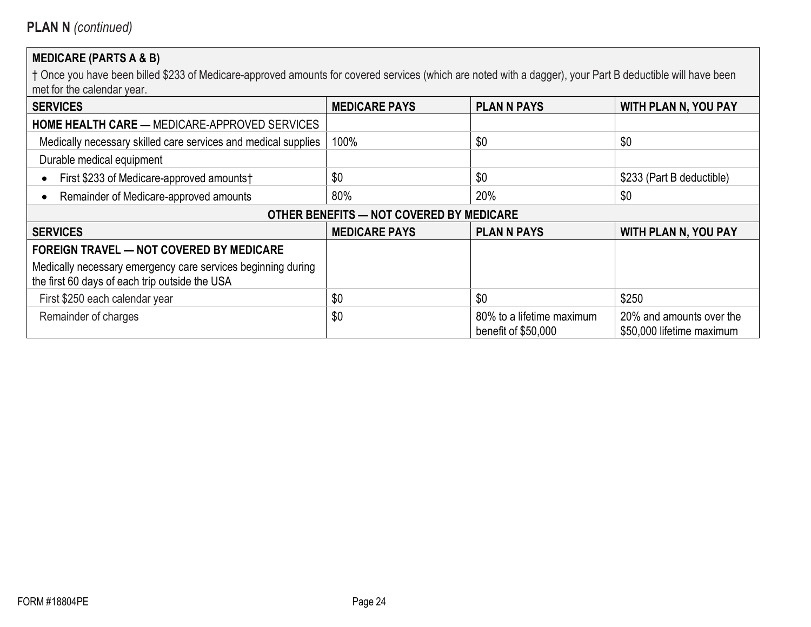# **MEDICARE (PARTS A & B)**

| <b>SERVICES</b>                                                                                                | <b>MEDICARE PAYS</b> | <b>PLAN N PAYS</b>                               | <b>WITH PLAN N, YOU PAY</b>                           |  |
|----------------------------------------------------------------------------------------------------------------|----------------------|--------------------------------------------------|-------------------------------------------------------|--|
| <b>HOME HEALTH CARE — MEDICARE-APPROVED SERVICES</b>                                                           |                      |                                                  |                                                       |  |
| Medically necessary skilled care services and medical supplies                                                 | 100%                 | \$0                                              | \$0                                                   |  |
| Durable medical equipment                                                                                      |                      |                                                  |                                                       |  |
| First \$233 of Medicare-approved amounts†                                                                      | \$0                  | \$0                                              | \$233 (Part B deductible)                             |  |
| Remainder of Medicare-approved amounts                                                                         | 80%                  | 20%                                              | \$0                                                   |  |
| OTHER BENEFITS - NOT COVERED BY MEDICARE                                                                       |                      |                                                  |                                                       |  |
| <b>SERVICES</b>                                                                                                | <b>MEDICARE PAYS</b> | <b>PLAN N PAYS</b>                               | <b>WITH PLAN N, YOU PAY</b>                           |  |
| <b>FOREIGN TRAVEL — NOT COVERED BY MEDICARE</b>                                                                |                      |                                                  |                                                       |  |
| Medically necessary emergency care services beginning during<br>the first 60 days of each trip outside the USA |                      |                                                  |                                                       |  |
| First \$250 each calendar year                                                                                 | \$0                  | \$0                                              | \$250                                                 |  |
| Remainder of charges                                                                                           | \$0                  | 80% to a lifetime maximum<br>benefit of \$50,000 | 20% and amounts over the<br>\$50,000 lifetime maximum |  |